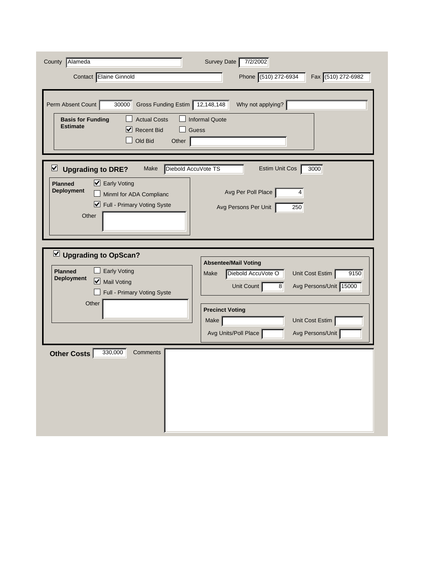| County Alameda<br>Contact Elaine Ginnold                                                                                                                                                   | Survey Date<br>7/2/2002<br>Phone (510) 272-6934<br>Fax (510) 272-6982                                                                                                                               |
|--------------------------------------------------------------------------------------------------------------------------------------------------------------------------------------------|-----------------------------------------------------------------------------------------------------------------------------------------------------------------------------------------------------|
| Perm Absent Count<br>30000<br>Gross Funding Estim 12,148,148<br><b>Actual Costs</b><br><b>Basis for Funding</b><br><b>Estimate</b><br>V<br><b>Recent Bid</b><br>Old Bid<br>Other           | Why not applying?<br><b>Informal Quote</b><br>Guess                                                                                                                                                 |
| Diebold AccuVote TS<br>⊻<br><b>Upgrading to DRE?</b><br>Make<br>■ Early Voting<br><b>Planned</b><br><b>Deployment</b><br>Minml for ADA Complianc<br>■ Full - Primary Voting Syste<br>Other | 3000<br>Estim Unit Cos<br>Avg Per Poll Place<br>4<br>Avg Persons Per Unit<br>250                                                                                                                    |
| Upgrading to OpScan?<br><b>Early Voting</b><br><b>Planned</b><br><b>Deployment</b><br>Mail Voting<br>Full - Primary Voting Syste<br>Other                                                  | <b>Absentee/Mail Voting</b><br>Diebold AccuVote O<br>Unit Cost Estim<br>9150<br>Make<br>Avg Persons/Unit 15000<br>Unit Count<br>8 <sup>1</sup><br><b>Precinct Voting</b><br>Make<br>Unit Cost Estim |
| 330,000<br><b>Other Costs</b><br>Comments                                                                                                                                                  | Avg Units/Poll Place<br>Avg Persons/Unit                                                                                                                                                            |
|                                                                                                                                                                                            |                                                                                                                                                                                                     |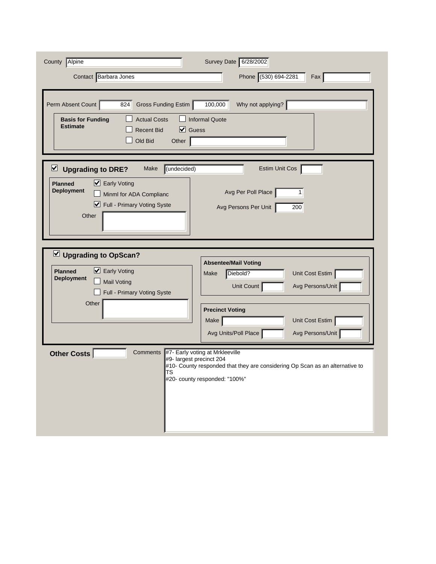| County<br>Alpine                                                                                                                                                                                | Survey Date 6/28/2002                                                                                                                                                                                 |
|-------------------------------------------------------------------------------------------------------------------------------------------------------------------------------------------------|-------------------------------------------------------------------------------------------------------------------------------------------------------------------------------------------------------|
| Contact Barbara Jones                                                                                                                                                                           | Phone (530) 694-2281<br>Fax                                                                                                                                                                           |
| Perm Absent Count<br>Gross Funding Estim<br>824<br><b>Actual Costs</b><br><b>Basis for Funding</b><br><b>Estimate</b><br>☑<br>Guess<br><b>Recent Bid</b><br>Old Bid<br>Other                    | Why not applying?<br>100,000<br><b>Informal Quote</b>                                                                                                                                                 |
| $\triangleright$<br>(undecided)<br><b>Upgrading to DRE?</b><br>Make<br>■ Early Voting<br><b>Planned</b><br><b>Deployment</b><br>Minml for ADA Complianc<br>Full - Primary Voting Syste<br>Other | Estim Unit Cos<br>Avg Per Poll Place<br>1<br>200<br>Avg Persons Per Unit                                                                                                                              |
| $\vee$ Upgrading to OpScan?<br>■ Early Voting<br><b>Planned</b><br><b>Deployment</b><br><b>Mail Voting</b><br>Full - Primary Voting Syste<br>Other                                              | <b>Absentee/Mail Voting</b><br>Diebold?<br>Unit Cost Estim<br>Make<br>Unit Count<br>Avg Persons/Unit<br><b>Precinct Voting</b><br>Unit Cost Estim<br>Make<br>Avg Units/Poll Place<br>Avg Persons/Unit |
| <b>Other Costs</b><br>Comments<br>#9- largest precinct 204<br><b>TS</b>                                                                                                                         | #7- Early voting at Mrkleeville<br>#10- County responded that they are considering Op Scan as an alternative to<br>#20- county responded: "100%"                                                      |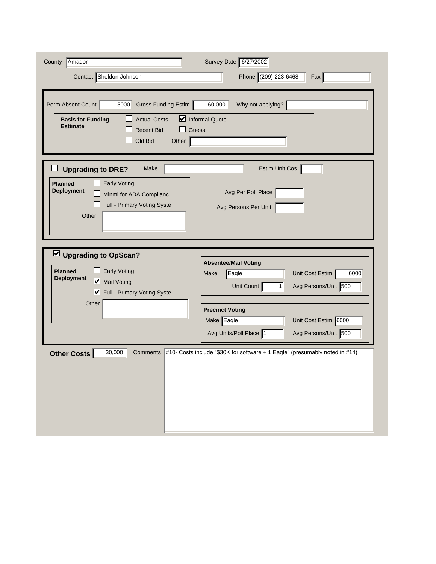| 6000                                                                        |
|-----------------------------------------------------------------------------|
|                                                                             |
|                                                                             |
|                                                                             |
|                                                                             |
|                                                                             |
| #10- Costs include "\$30K for software + 1 Eagle" (presumably noted in #14) |
|                                                                             |
|                                                                             |
|                                                                             |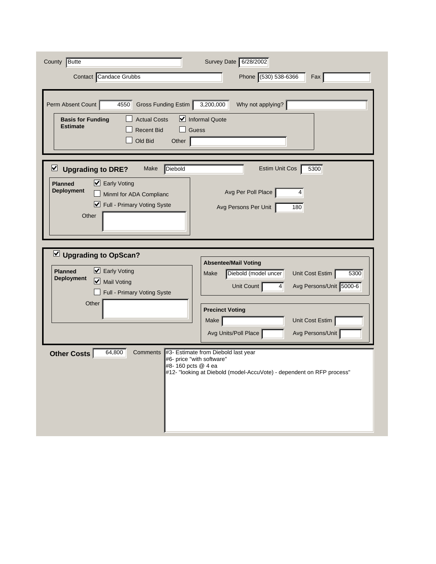| <b>Butte</b><br>County                                                                                                                                                    | Survey Date 6/28/2002                                                                                                                                                                                                                       |
|---------------------------------------------------------------------------------------------------------------------------------------------------------------------------|---------------------------------------------------------------------------------------------------------------------------------------------------------------------------------------------------------------------------------------------|
| Contact Candace Grubbs                                                                                                                                                    | Phone (530) 538-6366<br>Fax                                                                                                                                                                                                                 |
| Perm Absent Count<br>Gross Funding Estim<br>4550<br><b>Actual Costs</b><br><b>Basis for Funding</b><br><b>Estimate</b><br><b>Recent Bid</b><br>Old Bid<br>Other           | Why not applying?<br>3,200,000<br>$\triangleright$ Informal Quote<br>Guess                                                                                                                                                                  |
| Diebold<br>$\vee$ Upgrading to DRE?<br>Make<br>■ Early Voting<br><b>Planned</b><br><b>Deployment</b><br>Minml for ADA Complianc<br>■ Full - Primary Voting Syste<br>Other | 5300<br>Estim Unit Cos<br>Avg Per Poll Place<br>4<br>180<br>Avg Persons Per Unit                                                                                                                                                            |
| $\vee$ Upgrading to OpScan?<br>■ Early Voting<br><b>Planned</b><br><b>Deployment</b><br>Mail Voting<br>Full - Primary Voting Syste<br>Other                               | <b>Absentee/Mail Voting</b><br>Diebold (model uncer<br>Unit Cost Estim<br>5300<br>Make<br>Avg Persons/Unit 5000-6<br>Unit Count<br>$\vert$<br><b>Precinct Voting</b><br>Unit Cost Estim<br>Make<br>Avg Units/Poll Place<br>Avg Persons/Unit |
| 64,800<br><b>Other Costs</b><br>Comments<br>#8-160 pcts @ 4 ea                                                                                                            | #3- Estimate from Diebold last year<br>#6- price "with software"<br>#12- "looking at Diebold (model-AccuVote) - dependent on RFP process"                                                                                                   |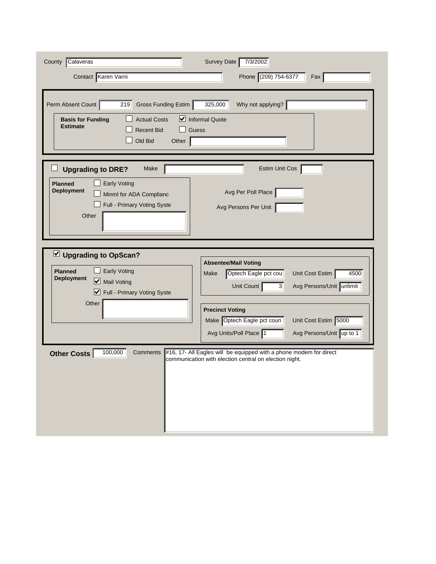| Calaveras<br>County                                                                                                                                               | Survey Date 7/3/2002                                                                                                                                                                                                                                                                     |
|-------------------------------------------------------------------------------------------------------------------------------------------------------------------|------------------------------------------------------------------------------------------------------------------------------------------------------------------------------------------------------------------------------------------------------------------------------------------|
| Contact Karen Varni                                                                                                                                               | Phone (209) 754-6377<br>Fax                                                                                                                                                                                                                                                              |
| Perm Absent Count<br>219<br>Gross Funding Estim<br><b>Actual Costs</b><br><b>Basis for Funding</b><br><b>Estimate</b><br><b>Recent Bid</b><br>Old Bid<br>Other    | 325,000<br>Why not applying?<br>Informal Quote<br>Guess                                                                                                                                                                                                                                  |
| Make<br><b>Upgrading to DRE?</b><br><b>Early Voting</b><br><b>Planned</b><br><b>Deployment</b><br>Minml for ADA Complianc<br>Full - Primary Voting Syste<br>Other | Estim Unit Cos<br>Avg Per Poll Place<br>Avg Persons Per Unit                                                                                                                                                                                                                             |
| U Upgrading to OpScan?<br><b>Early Voting</b><br><b>Planned</b><br><b>Deployment</b><br>Mail Voting<br>■ Full - Primary Voting Syste<br>Other                     | <b>Absentee/Mail Voting</b><br>Optech Eagle pct cou<br>Unit Cost Estim<br>4500<br>Make<br>Avg Persons/Unit unlimit<br>Unit Count<br>3 <sup>1</sup><br><b>Precinct Voting</b><br>Unit Cost Estim 5000<br>Make Optech Eagle pct coun<br>Avg Units/Poll Place 1<br>Avg Persons/Unit up to 1 |
| 100,000<br>Comments<br><b>Other Costs</b>                                                                                                                         | #16, 17- All Eagles will be equipped with a phone modem for direct<br>communication with election central on election night.                                                                                                                                                             |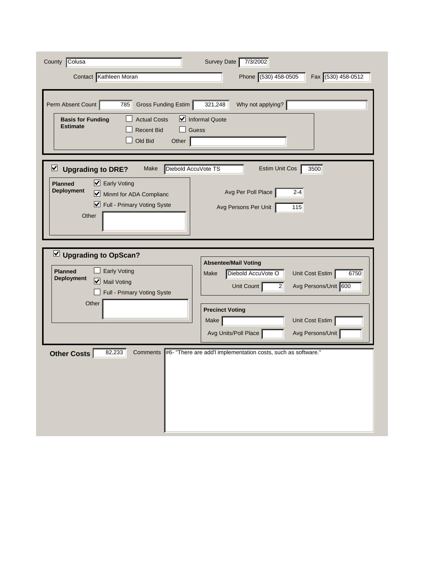| County Colusa                                                                                                                                                                                      | Survey Date<br>7/3/2002                                                                                                                                                                                                          |
|----------------------------------------------------------------------------------------------------------------------------------------------------------------------------------------------------|----------------------------------------------------------------------------------------------------------------------------------------------------------------------------------------------------------------------------------|
| Contact Kathleen Moran                                                                                                                                                                             | Phone (530) 458-0505<br>Fax (530) 458-0512                                                                                                                                                                                       |
| Perm Absent Count<br>Gross Funding Estim<br>785<br><b>Actual Costs</b><br><b>Basis for Funding</b><br><b>Estimate</b><br><b>Recent Bid</b><br>Old Bid<br>Other                                     | 321,248<br>Why not applying?<br>$\triangleright$ Informal Quote<br>Guess                                                                                                                                                         |
| Diebold AccuVote TS<br>$\vee$ Upgrading to DRE?<br>Make<br>$\triangleright$ Early Voting<br><b>Planned</b><br><b>Deployment</b><br>Minml for ADA Complianc<br>Full - Primary Voting Syste<br>Other | 3500<br>Estim Unit Cos<br>Avg Per Poll Place<br>$2 - 4$<br>Avg Persons Per Unit<br>115                                                                                                                                           |
| Upgrading to OpScan?<br><b>Early Voting</b><br><b>Planned</b><br><b>Deployment</b><br>Mail Voting<br>Full - Primary Voting Syste<br>Other                                                          | <b>Absentee/Mail Voting</b><br>Diebold AccuVote O<br>Unit Cost Estim<br>6750<br>Make<br>Avg Persons/Unit 600<br>Unit Count<br>2<br><b>Precinct Voting</b><br>Make<br>Unit Cost Estim<br>Avg Units/Poll Place<br>Avg Persons/Unit |
| 82,233<br>Comments<br>Other Costs                                                                                                                                                                  | #6- "There are add" implementation costs, such as software."                                                                                                                                                                     |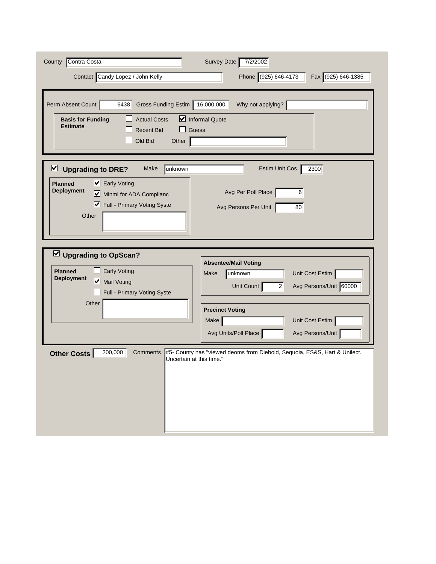| County Contra Costa<br>Contact Candy Lopez / John Kelly                                                                                                                    | Survey Date<br>7/2/2002<br>Phone (925) 646-4173<br>Fax (925) 646-1385                                                                                                   |
|----------------------------------------------------------------------------------------------------------------------------------------------------------------------------|-------------------------------------------------------------------------------------------------------------------------------------------------------------------------|
| Perm Absent Count<br>6438<br>Gross Funding Estim 16,000,000<br><b>Actual Costs</b><br><b>Basis for Funding</b><br><b>Estimate</b><br><b>Recent Bid</b><br>Old Bid<br>Other | Why not applying?<br>Informal Quote<br>Guess                                                                                                                            |
| $\vee$ Upgrading to DRE?<br>unknown<br>Make<br>■ Early Voting<br><b>Planned</b><br><b>Deployment</b><br>Minml for ADA Complianc<br>Full - Primary Voting Syste<br>Other    | 2300<br><b>Estim Unit Cos</b><br>Avg Per Poll Place<br>6<br>Avg Persons Per Unit<br>80                                                                                  |
| Upgrading to OpScan?<br><b>Early Voting</b><br><b>Planned</b><br><b>Deployment</b><br>Mail Voting<br>Full - Primary Voting Syste<br>Other                                  | <b>Absentee/Mail Voting</b><br>Unit Cost Estim<br>unknown<br>Make<br>Avg Persons/Unit 60000<br>Unit Count<br>2<br><b>Precinct Voting</b><br>Unit Cost Estim<br>Make $ $ |
| 200,000<br>Comments<br>Other Costs<br>Uncertain at this time."                                                                                                             | Avg Units/Poll Place<br>Avg Persons/Unit<br>#5- County has "viewed deoms from Diebold, Sequoia, ES&S, Hart & Unilect.                                                   |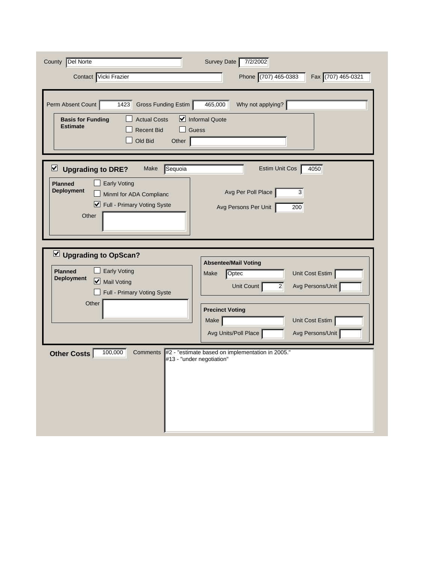| County Del Norte<br>Contact Vicki Frazier                                                                                                                                                                 | Survey Date<br>7/2/2002<br>Phone (707) 465-0383<br>Fax (707) 465-0321                                                                                                                                           |
|-----------------------------------------------------------------------------------------------------------------------------------------------------------------------------------------------------------|-----------------------------------------------------------------------------------------------------------------------------------------------------------------------------------------------------------------|
| Perm Absent Count<br>Gross Funding Estim<br>1423<br><b>Actual Costs</b><br><b>Basis for Funding</b><br><b>Estimate</b><br><b>Recent Bid</b><br>Old Bid<br>Other                                           | Why not applying?<br>465,000<br>$\triangleright$ Informal Quote<br>Guess                                                                                                                                        |
| $\overline{\mathbf{v}}$<br>Sequoia<br><b>Upgrading to DRE?</b><br>Make<br><b>Planned</b><br><b>Early Voting</b><br><b>Deployment</b><br>Minml for ADA Complianc<br>■ Full - Primary Voting Syste<br>Other | 4050<br>Estim Unit Cos<br>Avg Per Poll Place<br>3<br>Avg Persons Per Unit<br>200                                                                                                                                |
| Upgrading to OpScan?<br><b>Early Voting</b><br><b>Planned</b><br><b>Deployment</b><br>Mail Voting<br>Full - Primary Voting Syste<br>Other                                                                 | <b>Absentee/Mail Voting</b><br>Unit Cost Estim<br>Optec<br>Make<br>Unit Count<br>Avg Persons/Unit<br>$\vert$ 2<br><b>Precinct Voting</b><br>Unit Cost Estim<br>Make<br>Avg Units/Poll Place<br>Avg Persons/Unit |
| 100,000<br>Other Costs<br>Comments                                                                                                                                                                        | #2 - "estimate based on implementation in 2005."<br>#13 - "under negotiation"                                                                                                                                   |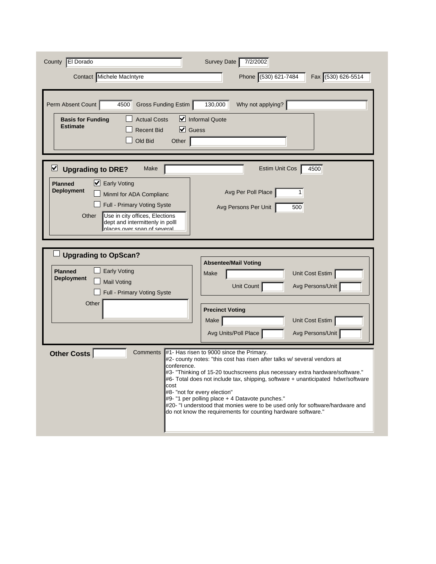| County   El Dorado                                                                                                                                                                                                                                                    | Survey Date<br>7/2/2002                                                                                                                                                                                                                                                                                                                                                                                                                                                                                                       |
|-----------------------------------------------------------------------------------------------------------------------------------------------------------------------------------------------------------------------------------------------------------------------|-------------------------------------------------------------------------------------------------------------------------------------------------------------------------------------------------------------------------------------------------------------------------------------------------------------------------------------------------------------------------------------------------------------------------------------------------------------------------------------------------------------------------------|
| Contact Michele MacIntyre                                                                                                                                                                                                                                             | Phone (530) 621-7484<br>Fax (530) 626-5514                                                                                                                                                                                                                                                                                                                                                                                                                                                                                    |
| Perm Absent Count<br>Gross Funding Estim<br>4500<br><b>Actual Costs</b><br><b>Basis for Funding</b><br><b>Estimate</b><br>$\vert\mathbf{v}\vert$<br>Guess<br><b>Recent Bid</b><br>Old Bid<br>Other                                                                    | Why not applying?<br>130,000<br>$\triangleright$ Informal Quote                                                                                                                                                                                                                                                                                                                                                                                                                                                               |
| ⊻<br><b>Upgrading to DRE?</b><br>Make<br>■ Early Voting<br><b>Planned</b><br><b>Deployment</b><br>Minml for ADA Complianc<br>Full - Primary Voting Syste<br>Use in city offices, Elections<br>Other<br>dept and intermittenly in polll<br>nlaces over snan of several | 4500<br>Estim Unit Cos<br>Avg Per Poll Place<br>Avg Persons Per Unit<br>500                                                                                                                                                                                                                                                                                                                                                                                                                                                   |
| <b>Upgrading to OpScan?</b><br><b>Early Voting</b><br><b>Planned</b><br><b>Deployment</b><br><b>Mail Voting</b><br>Full - Primary Voting Syste                                                                                                                        | <b>Absentee/Mail Voting</b><br>Unit Cost Estim<br>Make<br>Unit Count<br>Avg Persons/Unit                                                                                                                                                                                                                                                                                                                                                                                                                                      |
| Other                                                                                                                                                                                                                                                                 | <b>Precinct Voting</b><br>Unit Cost Estim<br>Make<br>Avg Units/Poll Place<br>Avg Persons/Unit                                                                                                                                                                                                                                                                                                                                                                                                                                 |
| <b>Other Costs</b><br><b>Comments</b><br>conference.<br>cost                                                                                                                                                                                                          | #1- Has risen to 9000 since the Primary.<br>#2- county notes: "this cost has risen after talks w/ several vendors at<br>#3- "Thinking of 15-20 touchscreens plus necessary extra hardware/software."<br>#6- Total does not include tax, shipping, software + unanticipated hdwr/software<br>#8- "not for every election"<br>#9- "1 per polling place + 4 Datavote punches."<br>#20- "I understood that monies were to be used only for software/hardware and<br>do not know the requirements for counting hardware software." |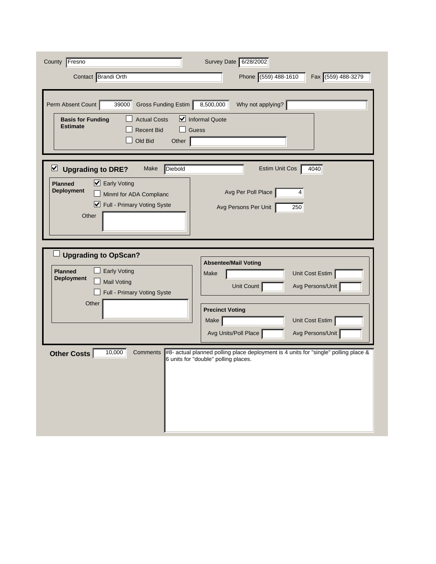| County Fresno<br>Contact Brandi Orth<br>Perm Absent Count<br>39000<br>Gross Funding Estim                                                                                      | Survey Date 6/28/2002<br>Phone (559) 488-1610<br>Fax (559) 488-3279<br>8,500,000<br>Why not applying?                       |
|--------------------------------------------------------------------------------------------------------------------------------------------------------------------------------|-----------------------------------------------------------------------------------------------------------------------------|
| <b>Actual Costs</b><br><b>Basis for Funding</b><br><b>Estimate</b><br><b>Recent Bid</b><br>Old Bid<br>Other                                                                    | Informal Quote<br>Guess                                                                                                     |
| ⊻<br>Diebold<br><b>Upgrading to DRE?</b><br>Make<br>■ Early Voting<br><b>Planned</b><br><b>Deployment</b><br>Minml for ADA Complianc<br>■ Full - Primary Voting Syste<br>Other | 4040<br><b>Estim Unit Cos</b><br>Avg Per Poll Place<br>4<br>Avg Persons Per Unit<br>250                                     |
| <b>Upgrading to OpScan?</b><br><b>Early Voting</b><br><b>Planned</b><br><b>Deployment</b><br><b>Mail Voting</b><br>Full - Primary Voting Syste                                 | <b>Absentee/Mail Voting</b><br>Unit Cost Estim<br>Make<br>Avg Persons/Unit<br>Unit Count                                    |
| Other                                                                                                                                                                          | <b>Precinct Voting</b><br>Unit Cost Estim<br>Make<br>Avg Units/Poll Place<br>Avg Persons/Unit                               |
| 10,000<br>Comments<br><b>Other Costs</b>                                                                                                                                       | #8- actual planned polling place deployment is 4 units for "single" polling place &<br>6 units for "double" polling places. |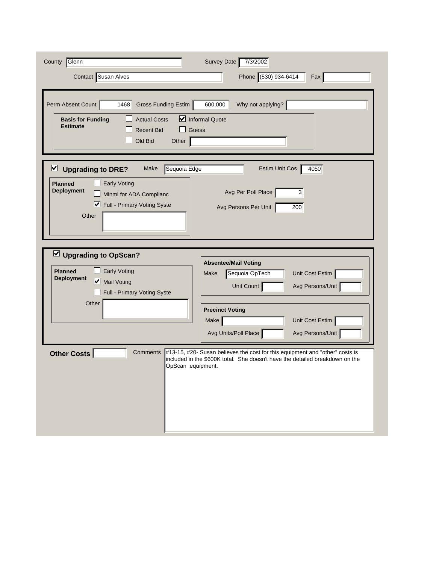| County Glenn<br>Contact Susan Alves                                                                                                                                                                            | Survey Date<br>7/3/2002<br>Phone (530) 934-6414<br>Fax                                                                                                                                                      |
|----------------------------------------------------------------------------------------------------------------------------------------------------------------------------------------------------------------|-------------------------------------------------------------------------------------------------------------------------------------------------------------------------------------------------------------|
| Gross Funding Estim<br>Perm Absent Count<br>1468<br><b>Actual Costs</b><br><b>Basis for Funding</b><br><b>Estimate</b><br><b>Recent Bid</b><br>Old Bid<br>Other                                                | Why not applying?<br>600,000<br>Informal Quote<br>Guess                                                                                                                                                     |
| $\overline{\mathbf{v}}$<br>Sequoia Edge<br><b>Upgrading to DRE?</b><br>Make<br><b>Planned</b><br><b>Early Voting</b><br><b>Deployment</b><br>Minml for ADA Complianc<br>■ Full - Primary Voting Syste<br>Other | 4050<br>Estim Unit Cos<br>Avg Per Poll Place<br>3<br>Avg Persons Per Unit<br>200                                                                                                                            |
| $\vee$ Upgrading to OpScan?<br><b>Early Voting</b><br><b>Planned</b><br><b>Deployment</b><br>Mail Voting<br>Full - Primary Voting Syste<br>Other                                                               | <b>Absentee/Mail Voting</b><br>Unit Cost Estim<br>Sequoia OpTech<br>Make<br>Unit Count<br>Avg Persons/Unit<br><b>Precinct Voting</b><br>Unit Cost Estim<br>Make<br>Avg Persons/Unit<br>Avg Units/Poll Place |
| <b>Other Costs</b><br>Comments<br>OpScan equipment.                                                                                                                                                            | #13-15, #20- Susan believes the cost for this equipment and "other" costs is<br>included in the \$600K total. She doesn't have the detailed breakdown on the                                                |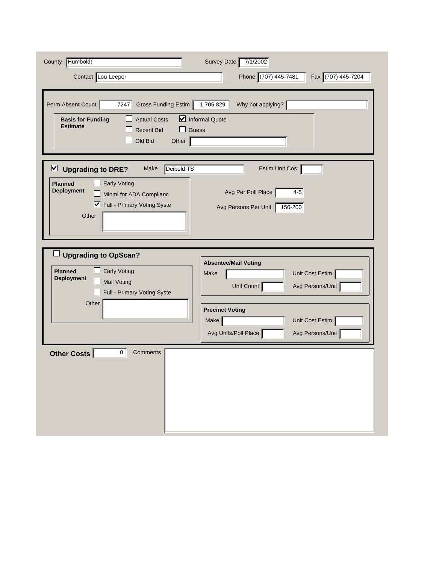| County Humboldt<br>Contact Lou Leeper<br>Perm Absent Count<br>7247<br>Gross Funding Estim                                                                                                             | Survey Date<br>7/1/2002<br>Phone (707) 445-7481<br>Fax (707) 445-7204<br>1,705,829<br>Why not applying? |
|-------------------------------------------------------------------------------------------------------------------------------------------------------------------------------------------------------|---------------------------------------------------------------------------------------------------------|
| <b>Actual Costs</b><br><b>Basis for Funding</b><br><b>Estimate</b><br><b>Recent Bid</b><br>Old Bid<br>Other                                                                                           | Informal Quote<br>Guess                                                                                 |
| Deibold TS<br>$\triangleright$<br><b>Upgrading to DRE?</b><br>Make<br><b>Early Voting</b><br><b>Planned</b><br><b>Deployment</b><br>Minml for ADA Complianc<br>■ Full - Primary Voting Syste<br>Other | Estim Unit Cos<br>Avg Per Poll Place<br>$4 - 5$<br>Avg Persons Per Unit<br>150-200                      |
| <b>Upgrading to OpScan?</b><br><b>Early Voting</b><br><b>Planned</b><br><b>Deployment</b><br><b>Mail Voting</b><br>Full - Primary Voting Syste                                                        | <b>Absentee/Mail Voting</b><br>Unit Cost Estim<br>Make<br>Avg Persons/Unit<br>Unit Count                |
| Other                                                                                                                                                                                                 | <b>Precinct Voting</b><br>Unit Cost Estim<br>Make<br>Avg Units/Poll Place<br>Avg Persons/Unit           |
| $\overline{0}$<br>Other Costs<br>Comments                                                                                                                                                             |                                                                                                         |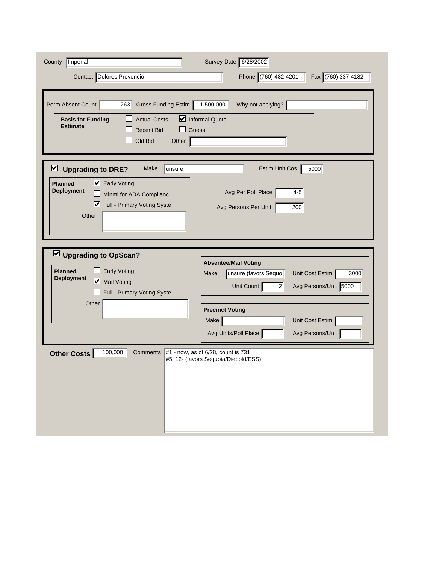| County Imperial<br>Contact Dolores Provencio<br>Perm Absent Count<br>Gross Funding Estim<br>263<br><b>Actual Costs</b><br><b>Basis for Funding</b><br><b>Estimate</b><br><b>Recent Bid</b><br>Old Bid<br>Other | Survey Date 6/28/2002<br>Phone (760) 482-4201<br>Fax (760) 337-4182<br>1,500,000<br>Why not applying?<br>$\triangleright$ Informal Quote<br>Guess                                                                                           |
|----------------------------------------------------------------------------------------------------------------------------------------------------------------------------------------------------------------|---------------------------------------------------------------------------------------------------------------------------------------------------------------------------------------------------------------------------------------------|
| $\overline{\mathbf{v}}$<br><b>Upgrading to DRE?</b><br>Make<br>unsure<br><b>Planned</b><br>■ Early Voting<br><b>Deployment</b><br>Minml for ADA Complianc<br>■ Full - Primary Voting Syste<br>Other            | 5000<br><b>Estim Unit Cos</b><br>Avg Per Poll Place<br>$4 - 5$<br>Avg Persons Per Unit<br>200                                                                                                                                               |
| Upgrading to OpScan?<br><b>Early Voting</b><br><b>Planned</b><br><b>Deployment</b><br>Mail Voting<br>Full - Primary Voting Syste<br>Other                                                                      | <b>Absentee/Mail Voting</b><br>unsure (favors Sequo<br>Unit Cost Estim<br>3000<br>Make<br>Unit Count<br>Avg Persons/Unit 5000<br>$\vert$ 2<br><b>Precinct Voting</b><br>Unit Cost Estim<br>Make<br>Avg Units/Poll Place<br>Avg Persons/Unit |
| 100,000<br>Other Costs<br>Comments                                                                                                                                                                             | #1 - now, as of 6/28, count is 731<br>#5, 12- (favors Sequoia/Diebold/ESS)                                                                                                                                                                  |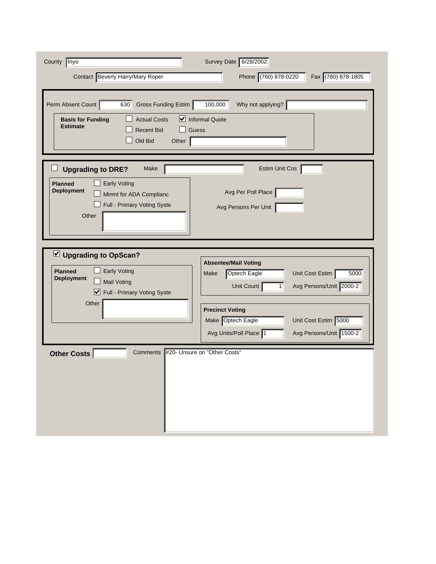| County   Inyo<br>Contact Beverly Harry/Mary Roper                                                                                                                 | Survey Date 6/28/2002<br>Phone (760) 878-0220<br>Fax (760) 878-1805                                                                                                                                                                                                   |
|-------------------------------------------------------------------------------------------------------------------------------------------------------------------|-----------------------------------------------------------------------------------------------------------------------------------------------------------------------------------------------------------------------------------------------------------------------|
| Perm Absent Count<br>Gross Funding Estim<br>630<br><b>Actual Costs</b><br><b>Basis for Funding</b><br><b>Estimate</b><br><b>Recent Bid</b><br>Old Bid<br>Other    | 100,000<br>Why not applying?<br>Informal Quote<br>Guess                                                                                                                                                                                                               |
| Make<br><b>Upgrading to DRE?</b><br><b>Early Voting</b><br><b>Planned</b><br><b>Deployment</b><br>Minml for ADA Complianc<br>Full - Primary Voting Syste<br>Other | <b>Estim Unit Cos</b><br>Avg Per Poll Place<br>Avg Persons Per Unit                                                                                                                                                                                                   |
| Upgrading to OpScan?<br><b>Early Voting</b><br><b>Planned</b><br><b>Deployment</b><br><b>Mail Voting</b><br>■ Full - Primary Voting Syste<br>Other                | <b>Absentee/Mail Voting</b><br>Unit Cost Estim<br>Optech Eagle<br>Make<br>5000<br>Avg Persons/Unit 2000-2<br>Unit Count<br>1 <sup>1</sup><br><b>Precinct Voting</b><br>Make Optech Eagle<br>Unit Cost Estim 5000<br>Avg Units/Poll Place 1<br>Avg Persons/Unit 1500-2 |
| <b>Comments</b><br><b>Other Costs</b>                                                                                                                             | #20- Unsure on "Other Costs"                                                                                                                                                                                                                                          |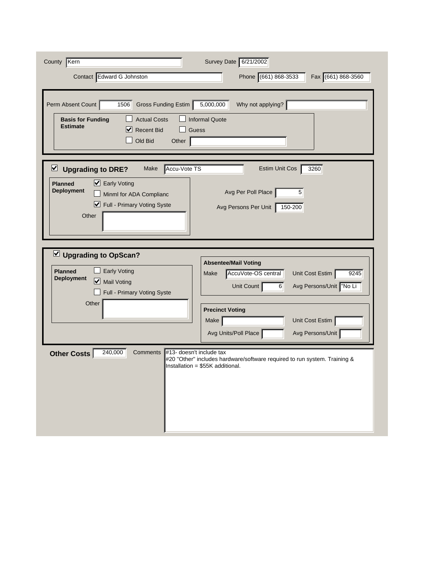| County Kern                                                                                                                                                          | Survey Date 6/21/2002                                                                                                                                |
|----------------------------------------------------------------------------------------------------------------------------------------------------------------------|------------------------------------------------------------------------------------------------------------------------------------------------------|
| Contact Edward G Johnston                                                                                                                                            | Phone (661) 868-3533<br>Fax (661) 868-3560                                                                                                           |
| Perm Absent Count<br>1506<br>Gross Funding Estim<br><b>Actual Costs</b><br><b>Basis for Funding</b><br><b>Estimate</b><br>V<br><b>Recent Bid</b><br>Old Bid<br>Other | 5,000,000<br>Why not applying?<br><b>Informal Quote</b><br>Guess                                                                                     |
| Accu-Vote TS<br>$\triangleright$ Upgrading to DRE?<br>Make                                                                                                           | 3260<br>Estim Unit Cos                                                                                                                               |
| ■ Early Voting<br><b>Planned</b><br><b>Deployment</b><br>Minml for ADA Complianc<br>■ Full - Primary Voting Syste<br>Other                                           | Avg Per Poll Place<br>5<br>Avg Persons Per Unit<br>150-200                                                                                           |
|                                                                                                                                                                      |                                                                                                                                                      |
| Upgrading to OpScan?<br><b>Early Voting</b><br><b>Planned</b><br><b>Deployment</b><br>Mail Voting<br>Full - Primary Voting Syste                                     | <b>Absentee/Mail Voting</b><br>AccuVote-OS central<br>Unit Cost Estim<br>9245<br>Make<br>Avg Persons/Unit   "No Li<br>Unit Count<br>$6 \overline{6}$ |
| Other                                                                                                                                                                | <b>Precinct Voting</b>                                                                                                                               |
|                                                                                                                                                                      | Unit Cost Estim<br>Make<br>Avg Units/Poll Place<br>Avg Persons/Unit                                                                                  |
| 240,000<br>#13- doesn't include tax<br><b>Other Costs</b><br>Comments                                                                                                | #20 "Other" includes hardware/software required to run system. Training &<br>Installation = \$55K additional.                                        |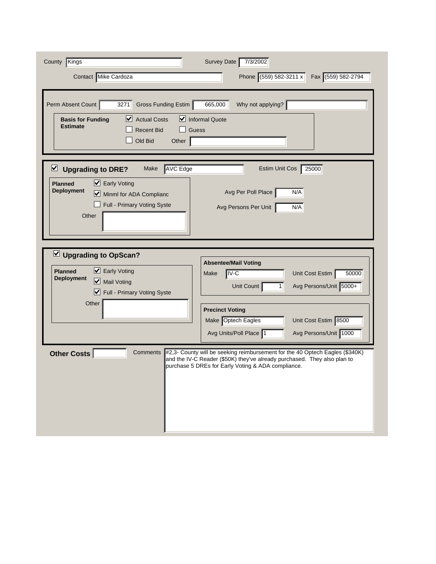| Kings<br>County                                                                                                                                                                      | Survey Date 7/3/2002                                                                                                                                                                                                                                           |
|--------------------------------------------------------------------------------------------------------------------------------------------------------------------------------------|----------------------------------------------------------------------------------------------------------------------------------------------------------------------------------------------------------------------------------------------------------------|
| Contact Mike Cardoza                                                                                                                                                                 | Phone (559) 582-3211 x<br>Fax (559) 582-2794                                                                                                                                                                                                                   |
| Gross Funding Estim<br>Perm Absent Count<br>3271<br>■ Actual Costs<br><b>Basis for Funding</b><br><b>Estimate</b><br><b>Recent Bid</b><br>Old Bid<br>Other                           | Why not applying?<br>665,000<br>$\triangleright$ Informal Quote<br>Guess                                                                                                                                                                                       |
| <b>AVC Edge</b><br>⊻<br><b>Upgrading to DRE?</b><br>Make<br>■ Early Voting<br><b>Planned</b><br><b>Deployment</b><br>Minml for ADA Complianc<br>Full - Primary Voting Syste<br>Other | 25000<br>Estim Unit Cos<br>N/A<br>Avg Per Poll Place<br>N/A<br>Avg Persons Per Unit                                                                                                                                                                            |
| $\vee$ Upgrading to OpScan?<br>$\triangleright$ Early Voting<br><b>Planned</b><br><b>Deployment</b><br>Mail Voting<br>■ Full - Primary Voting Syste<br>Other                         | <b>Absentee/Mail Voting</b><br>$IV-C$<br>Unit Cost Estim<br>50000<br>Make<br>Avg Persons/Unit 5000+<br>Unit Count<br>1 <sup>1</sup><br><b>Precinct Voting</b><br>Make Optech Eagles<br>Unit Cost Estim 8500<br>Avg Persons/Unit 1000<br>Avg Units/Poll Place 1 |
| <b>Other Costs</b><br>Comments                                                                                                                                                       | #2,3- County will be seeking reimbursement for the 40 Optech Eagles (\$340K)<br>and the IV-C Reader (\$50K) they've already purchased. They also plan to<br>purchase 5 DREs for Early Voting & ADA compliance.                                                 |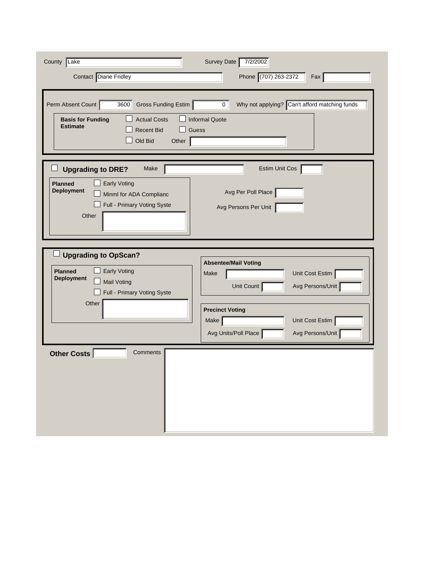| County Lake<br>Contact Diane Fridley<br>Perm Absent Count<br>Gross Funding Estim<br>3600<br><b>Actual Costs</b><br><b>Basis for Funding</b><br><b>Estimate</b><br><b>Recent Bid</b><br>Old Bid<br>Other | Survey Date<br>7/2/2002<br>Phone (707) 263-2372<br>Fax<br>Why not applying? Can't afford matching funds<br>0 <sup>1</sup><br><b>Informal Quote</b><br>Guess |
|---------------------------------------------------------------------------------------------------------------------------------------------------------------------------------------------------------|-------------------------------------------------------------------------------------------------------------------------------------------------------------|
| <b>Upgrading to DRE?</b><br>Make<br><b>Early Voting</b><br><b>Planned</b><br><b>Deployment</b><br>Minml for ADA Complianc<br>Full - Primary Voting Syste<br>Other                                       | Estim Unit Cos<br>Avg Per Poll Place<br>Avg Persons Per Unit                                                                                                |
| <b>Upgrading to OpScan?</b><br><b>Planned</b><br>Early Voting<br><b>Deployment</b><br><b>Mail Voting</b><br>Full - Primary Voting Syste<br>Other                                                        | <b>Absentee/Mail Voting</b><br>Unit Cost Estim<br>Make<br>Unit Count<br>Avg Persons/Unit                                                                    |
|                                                                                                                                                                                                         | <b>Precinct Voting</b><br>Unit Cost Estim<br>Make<br>Avg Units/Poll Place<br>Avg Persons/Unit                                                               |
| <b>Other Costs</b><br>Comments                                                                                                                                                                          |                                                                                                                                                             |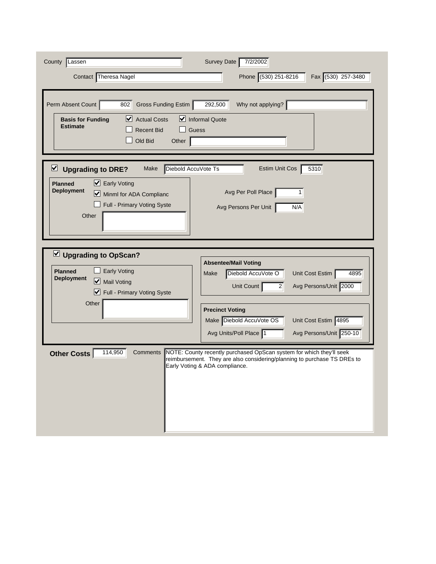| County<br>Lassen                                                                                                                                                                                                              | Survey Date<br>7/2/2002                                                                                                                                                                                                                 |
|-------------------------------------------------------------------------------------------------------------------------------------------------------------------------------------------------------------------------------|-----------------------------------------------------------------------------------------------------------------------------------------------------------------------------------------------------------------------------------------|
| Contact Theresa Nagel                                                                                                                                                                                                         | Phone (530) 251-8216<br>Fax (530) 257-3480                                                                                                                                                                                              |
| Perm Absent Count<br>Gross Funding Estim<br>802<br>$\triangleright$ Actual Costs<br><b>Basis for Funding</b><br><b>Estimate</b><br><b>Recent Bid</b><br>Old Bid<br>Other                                                      | Why not applying?<br>292,500<br>Informal Quote<br>Guess                                                                                                                                                                                 |
| $\overline{\mathbf{v}}$<br>Diebold AccuVote Ts<br><b>Upgrading to DRE?</b><br>Make<br>$\triangleright$ Early Voting<br><b>Planned</b><br><b>Deployment</b><br>Minml for ADA Complianc<br>Full - Primary Voting Syste<br>Other | Estim Unit Cos<br>5310<br>Avg Per Poll Place<br>1<br>Avg Persons Per Unit<br>N/A                                                                                                                                                        |
| $\vee$ Upgrading to OpScan?<br><b>Early Voting</b><br><b>Planned</b><br><b>Deployment</b><br>Mail Voting<br>Full - Primary Voting Syste<br>Other                                                                              | <b>Absentee/Mail Voting</b><br>Diebold AccuVote O<br>Unit Cost Estim<br>Make<br>4895<br>Avg Persons/Unit 2000<br>Unit Count<br>2 <sup>2</sup><br><b>Precinct Voting</b><br>Make Diebold AccuVote OS<br>Unit Cost Estim 4895             |
| 114,950<br>Comments<br><b>Other Costs</b>                                                                                                                                                                                     | Avg Units/Poll Place 1<br>Avg Persons/Unit 250-10<br>NOTE: County recently purchased OpScan system for which they'll seek<br>reimbursement. They are also considering/planning to purchase TS DREs to<br>Early Voting & ADA compliance. |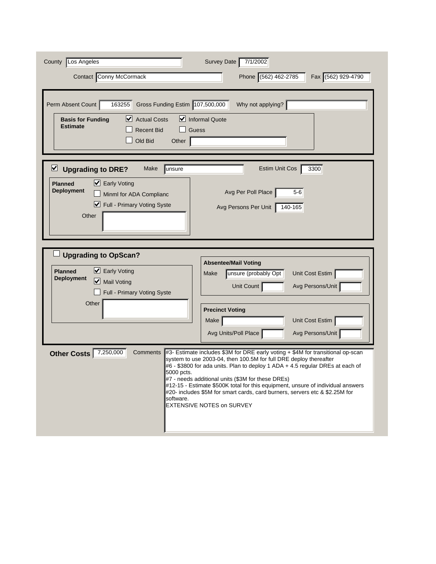| County Los Angeles                                                                                                                                                                     | Survey Date 7/1/2002                                                                                                                                                                                                                                                                                                                                                                                                                                                                             |
|----------------------------------------------------------------------------------------------------------------------------------------------------------------------------------------|--------------------------------------------------------------------------------------------------------------------------------------------------------------------------------------------------------------------------------------------------------------------------------------------------------------------------------------------------------------------------------------------------------------------------------------------------------------------------------------------------|
| Contact Conny McCormack                                                                                                                                                                | Phone (562) 462-2785<br>Fax (562) 929-4790                                                                                                                                                                                                                                                                                                                                                                                                                                                       |
| 163255<br>Gross Funding Estim 107,500,000<br>Perm Absent Count<br>$\vee$ Actual Costs<br><b>Basis for Funding</b><br><b>Estimate</b><br><b>Recent Bid</b><br>Guess<br>Old Bid<br>Other | Why not applying?<br>$\triangleright$ Informal Quote                                                                                                                                                                                                                                                                                                                                                                                                                                             |
| ⊻<br><b>Upgrading to DRE?</b><br>Make<br>unsure<br>■ Early Voting<br><b>Planned</b><br><b>Deployment</b><br>Minml for ADA Complianc<br>Full - Primary Voting Syste<br>Other            | 3300<br><b>Estim Unit Cos</b><br>Avg Per Poll Place<br>$5-6$<br>$140 - 165$<br>Avg Persons Per Unit                                                                                                                                                                                                                                                                                                                                                                                              |
| <b>Upgrading to OpScan?</b><br>$\triangleright$ Early Voting<br><b>Planned</b><br><b>Deployment</b><br>Mail Voting<br>Full - Primary Voting Syste                                      | <b>Absentee/Mail Voting</b><br>unsure (probably Opt<br>Unit Cost Estim<br>Make<br>Unit Count<br>Avg Persons/Unit                                                                                                                                                                                                                                                                                                                                                                                 |
| Other                                                                                                                                                                                  | <b>Precinct Voting</b><br>Unit Cost Estim<br>Make<br>Avg Units/Poll Place<br>Avg Persons/Unit                                                                                                                                                                                                                                                                                                                                                                                                    |
| 7,250,000<br><b>Comments</b><br>Other Costs<br>5000 pcts.<br>software.                                                                                                                 | #3- Estimate includes \$3M for DRE early voting + \$4M for transitional op-scan<br>system to use 2003-04, then 100.5M for full DRE deploy thereafter<br>#6 - \$3800 for ada units. Plan to deploy 1 ADA + 4.5 regular DREs at each of<br>#7 - needs additional units (\$3M for these DREs)<br>#12-15 - Estimate \$500K total for this equipment, unsure of individual answers<br>#20- includes \$5M for smart cards, card burners, servers etc & \$2.25M for<br><b>EXTENSIVE NOTES on SURVEY</b> |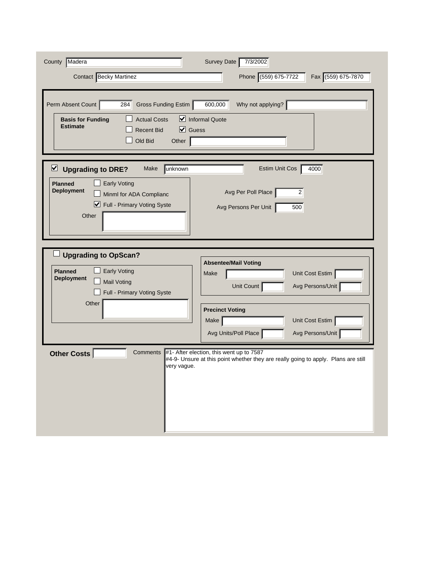| County Madera<br><b>Contact</b> Becky Martinez                                                                                                                                             | Survey Date<br>7/3/2002<br>Phone (559) 675-7722<br>Fax (559) 675-7870                                                                                                      |
|--------------------------------------------------------------------------------------------------------------------------------------------------------------------------------------------|----------------------------------------------------------------------------------------------------------------------------------------------------------------------------|
| Perm Absent Count<br>Gross Funding Estim<br>284<br><b>Actual Costs</b><br><b>Basis for Funding</b><br><b>Estimate</b><br>$\vert \mathbf{v} \vert$<br><b>Recent Bid</b><br>Old Bid<br>Other | 600,000<br>Why not applying?<br>Informal Quote<br>Guess                                                                                                                    |
| ⊻<br>unknown<br><b>Upgrading to DRE?</b><br>Make<br><b>Early Voting</b><br><b>Planned</b><br><b>Deployment</b><br>Minml for ADA Complianc<br>Full - Primary Voting Syste<br>Other          | 4000<br><b>Estim Unit Cos</b><br>Avg Per Poll Place<br>$\overline{2}$<br>Avg Persons Per Unit<br>500                                                                       |
| <b>Upgrading to OpScan?</b><br><b>Early Voting</b><br><b>Planned</b><br><b>Deployment</b><br><b>Mail Voting</b><br>Full - Primary Voting Syste<br>Other                                    | <b>Absentee/Mail Voting</b><br>Unit Cost Estim<br>Make<br>Unit Count<br>Avg Persons/Unit<br><b>Precinct Voting</b><br>Unit Cost Estim<br>Make                              |
| <b>Comments</b><br><b>Other Costs</b><br>very vague.                                                                                                                                       | Avg Units/Poll Place<br>Avg Persons/Unit<br>#1- After election, this went up to 7587<br>#4-9- Unsure at this point whether they are really going to apply. Plans are still |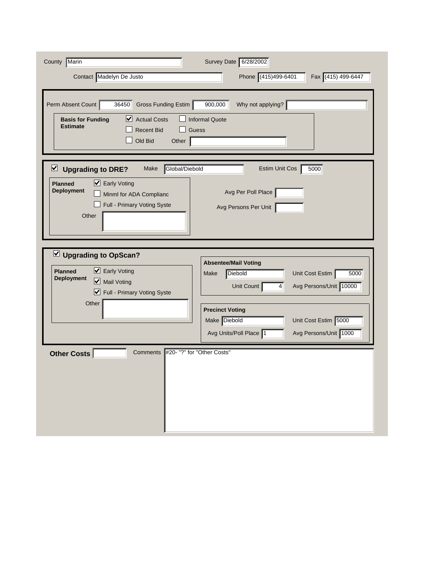| County Marin<br>Contact Madelyn De Justo                                                                                                                                                 | Survey Date 6/28/2002<br>Phone (415)499-6401<br>Fax (415) 499-6447                                                                                                                                     |
|------------------------------------------------------------------------------------------------------------------------------------------------------------------------------------------|--------------------------------------------------------------------------------------------------------------------------------------------------------------------------------------------------------|
| Perm Absent Count<br>36450<br>Gross Funding Estim<br>$\vee$ Actual Costs<br><b>Basis for Funding</b><br><b>Estimate</b><br><b>Recent Bid</b><br>Old Bid<br>Other                         | 900,000<br>Why not applying?<br><b>Informal Quote</b><br><b>Guess</b>                                                                                                                                  |
| Global/Diebold<br>$\triangleright$ Upgrading to DRE?<br>Make<br>■ Early Voting<br><b>Planned</b><br><b>Deployment</b><br>Minml for ADA Complianc<br>Full - Primary Voting Syste<br>Other | 5000<br><b>Estim Unit Cos</b><br>Avg Per Poll Place<br>Avg Persons Per Unit                                                                                                                            |
| Upgrading to OpScan?<br>■ Early Voting<br><b>Planned</b><br><b>Deployment</b><br>Mail Voting<br>■ Full - Primary Voting Syste<br>Other                                                   | <b>Absentee/Mail Voting</b><br>Diebold<br>Unit Cost Estim<br>5000<br>Make<br>Avg Persons/Unit 10000<br>Unit Count<br>$\vert 4 \vert$<br><b>Precinct Voting</b><br>Make Diebold<br>Unit Cost Estim 5000 |
| <b>Comments</b><br>Other Costs                                                                                                                                                           | Avg Persons/Unit 1000<br>Avg Units/Poll Place 1<br>#20- "?" for "Other Costs"                                                                                                                          |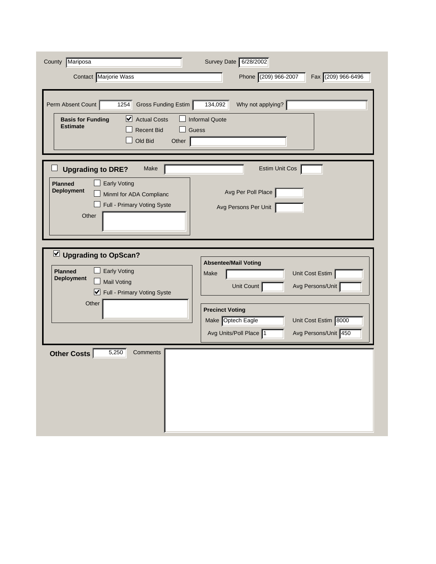| County Mariposa<br>Contact Marjorie Wass                                                                                                                                    | Survey Date 6/28/2002<br>Phone (209) 966-2007<br>Fax (209) 966-6496                         |
|-----------------------------------------------------------------------------------------------------------------------------------------------------------------------------|---------------------------------------------------------------------------------------------|
|                                                                                                                                                                             |                                                                                             |
| Perm Absent Count<br>$1254$<br>Gross Funding Estim<br>$\triangleright$ Actual Costs<br><b>Basis for Funding</b><br><b>Estimate</b><br><b>Recent Bid</b><br>Old Bid<br>Other | 134,092<br>Why not applying? $\vert$<br><b>Informal Quote</b><br><b>Guess</b>               |
| <b>Upgrading to DRE?</b><br>Make                                                                                                                                            | Estim Unit Cos                                                                              |
| <b>Early Voting</b><br><b>Planned</b><br><b>Deployment</b><br>Minml for ADA Complianc<br>Full - Primary Voting Syste<br>Other                                               | Avg Per Poll Place<br>Avg Persons Per Unit                                                  |
|                                                                                                                                                                             |                                                                                             |
| U Upgrading to OpScan?<br><b>Early Voting</b><br><b>Planned</b><br><b>Deployment</b><br><b>Mail Voting</b><br>Full - Primary Voting Syste                                   | <b>Absentee/Mail Voting</b><br>Unit Cost Estim<br>Make<br>Avg Persons/Unit<br>Unit Count    |
| Other                                                                                                                                                                       | <b>Precinct Voting</b>                                                                      |
|                                                                                                                                                                             | Make Optech Eagle<br>Unit Cost Estim 8000<br>Avg Units/Poll Place 1<br>Avg Persons/Unit 450 |
| 5,250<br><b>Other Costs</b><br>Comments                                                                                                                                     |                                                                                             |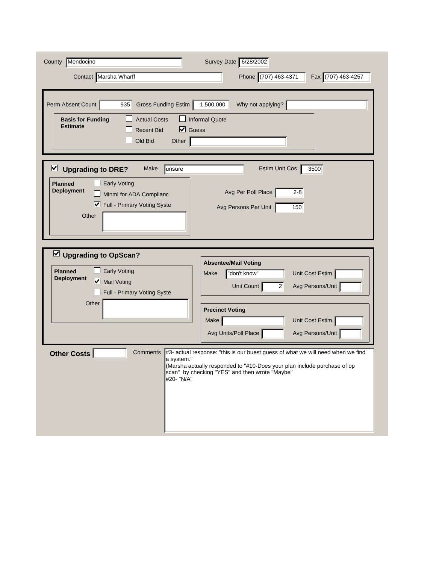| County Mendocino<br>Contact Marsha Wharff                                                                                                                                        | Survey Date 6/28/2002<br>Phone (707) 463-4371<br>Fax (707) 463-4257                                                                                                                                                                                       |
|----------------------------------------------------------------------------------------------------------------------------------------------------------------------------------|-----------------------------------------------------------------------------------------------------------------------------------------------------------------------------------------------------------------------------------------------------------|
| Perm Absent Count<br>Gross Funding Estim<br>935<br><b>Actual Costs</b><br><b>Basis for Funding</b><br><b>Estimate</b><br>$\vee$ Guess<br><b>Recent Bid</b><br>Old Bid<br>Other   | Why not applying?<br>1,500,000<br><b>Informal Quote</b>                                                                                                                                                                                                   |
| ⊻<br><b>Upgrading to DRE?</b><br>unsure<br>Make<br><b>Early Voting</b><br><b>Planned</b><br><b>Deployment</b><br>Minml for ADA Complianc<br>Full - Primary Voting Syste<br>Other | 3500<br>Estim Unit Cos<br>Avg Per Poll Place<br>$2 - 8$<br>150<br>Avg Persons Per Unit                                                                                                                                                                    |
| $\vee$ Upgrading to OpScan?<br><b>Early Voting</b><br><b>Planned</b><br><b>Deployment</b><br>Mail Voting<br>Full - Primary Voting Syste<br>Other                                 | <b>Absentee/Mail Voting</b><br>"don't know"<br>Unit Cost Estim<br>Make<br>Unit Count<br>2<br>Avg Persons/Unit<br><b>Precinct Voting</b><br>Unit Cost Estim<br>Make                                                                                        |
| <b>Other Costs</b><br>Comments<br>a system."<br>#20- "N/A"                                                                                                                       | Avg Persons/Unit<br>Avg Units/Poll Place<br>#3- actual response: "this is our buest guess of what we will need when we find<br>(Marsha actually responded to "#10-Does your plan include purchase of op<br>scan" by checking "YES" and then wrote "Maybe" |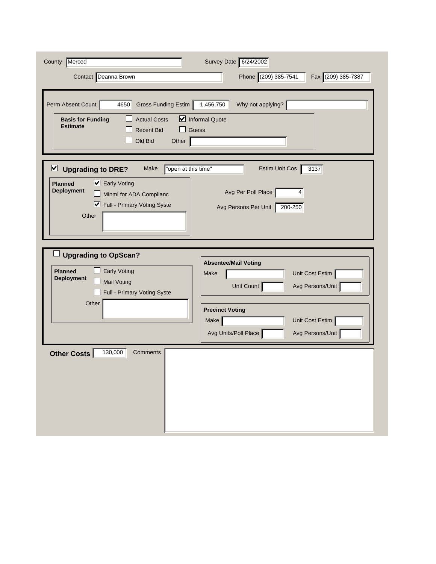| County   Merced<br>Contact Deanna Brown                                                                                                                                                    | Survey Date 6/24/2002<br>Phone (209) 385-7541<br>Fax (209) 385-7387                                                                                                                       |
|--------------------------------------------------------------------------------------------------------------------------------------------------------------------------------------------|-------------------------------------------------------------------------------------------------------------------------------------------------------------------------------------------|
| Perm Absent Count<br>Gross Funding Estim<br>4650<br><b>Actual Costs</b><br><b>Basis for Funding</b><br><b>Estimate</b><br><b>Recent Bid</b><br>Old Bid<br>Other                            | Why not applying?<br>1,456,750<br>$\triangleright$ Informal Quote<br>Guess                                                                                                                |
| ⊻<br>"open at this time"<br><b>Upgrading to DRE?</b><br>Make<br>■ Early Voting<br><b>Planned</b><br><b>Deployment</b><br>Minml for ADA Complianc<br>■ Full - Primary Voting Syste<br>Other | $\overline{3137}$<br>Estim Unit Cos<br>Avg Per Poll Place<br>4<br>Avg Persons Per Unit<br>200-250                                                                                         |
| <b>Upgrading to OpScan?</b><br><b>Early Voting</b><br><b>Planned</b><br><b>Deployment</b><br><b>Mail Voting</b><br>Full - Primary Voting Syste<br>Other                                    | <b>Absentee/Mail Voting</b><br>Unit Cost Estim<br>Make<br>Unit Count<br>Avg Persons/Unit<br><b>Precinct Voting</b><br>Unit Cost Estim<br>Make<br>Avg Persons/Unit<br>Avg Units/Poll Place |
| 130,000<br>Other Costs<br>Comments                                                                                                                                                         |                                                                                                                                                                                           |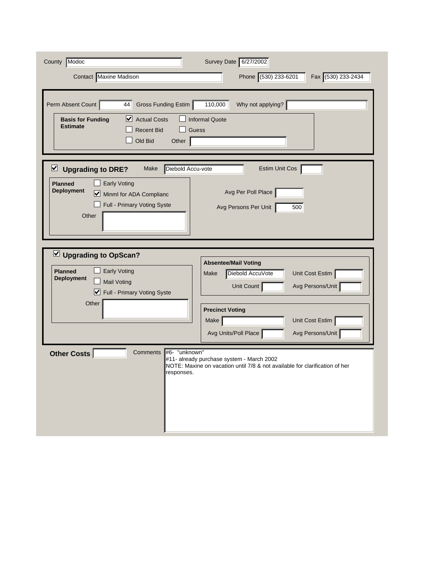| County Modoc<br><b>Contact</b> Maxine Madison                                                                                                                                               | Survey Date 6/27/2002<br>Phone (530) 233-6201<br>Fax (530) 233-2434                                                      |
|---------------------------------------------------------------------------------------------------------------------------------------------------------------------------------------------|--------------------------------------------------------------------------------------------------------------------------|
| Perm Absent Count<br>Gross Funding Estim<br>44<br>⊻<br><b>Actual Costs</b><br><b>Basis for Funding</b><br><b>Estimate</b><br><b>Recent Bid</b><br>Old Bid<br>Other                          | Why not applying?<br>110,000<br><b>Informal Quote</b><br><b>Guess</b>                                                    |
| ⊻<br>Diebold Accu-vote<br><b>Upgrading to DRE?</b><br>Make<br><b>Early Voting</b><br><b>Planned</b><br><b>Deployment</b><br>Minml for ADA Complianc<br>Full - Primary Voting Syste<br>Other | Estim Unit Cos<br>Avg Per Poll Place<br>Avg Persons Per Unit<br>500                                                      |
| $\vee$ Upgrading to OpScan?<br><b>Early Voting</b><br><b>Planned</b><br><b>Deployment</b><br><b>Mail Voting</b><br>Full - Primary Voting Syste                                              | <b>Absentee/Mail Voting</b><br>Diebold AccuVote<br>Unit Cost Estim<br>Make<br>Avg Persons/Unit<br>Unit Count             |
| Other                                                                                                                                                                                       | <b>Precinct Voting</b><br>Unit Cost Estim<br>Make<br>Avg Units/Poll Place<br>Avg Persons/Unit                            |
| <b>Comments</b><br>#6- "unknown"<br><b>Other Costs</b><br>responses.                                                                                                                        | #11- already purchase system - March 2002<br>NOTE: Maxine on vacation until 7/8 & not available for clarification of her |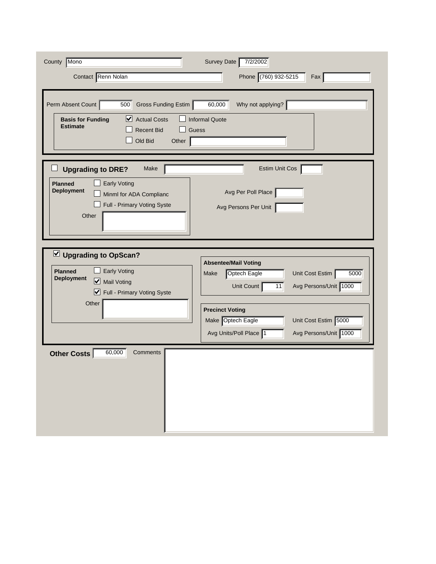| County Mono                                                                                                                                                       | Survey Date<br>7/2/2002                                                                                                                                                                                                                                      |
|-------------------------------------------------------------------------------------------------------------------------------------------------------------------|--------------------------------------------------------------------------------------------------------------------------------------------------------------------------------------------------------------------------------------------------------------|
| Contact Renn Nolan                                                                                                                                                | Phone (760) 932-5215<br>Fax                                                                                                                                                                                                                                  |
| Perm Absent Count<br>500<br>Gross Funding Estim<br>$\vee$ Actual Costs<br><b>Basis for Funding</b><br><b>Estimate</b><br><b>Recent Bid</b><br>Old Bid<br>Other    | 60,000<br>Why not applying?<br><b>Informal Quote</b><br>Guess                                                                                                                                                                                                |
| <b>Upgrading to DRE?</b><br>Make<br><b>Early Voting</b><br><b>Planned</b><br><b>Deployment</b><br>Minml for ADA Complianc<br>Full - Primary Voting Syste<br>Other | Estim Unit Cos<br>Avg Per Poll Place<br>Avg Persons Per Unit                                                                                                                                                                                                 |
| Upgrading to OpScan?<br><b>Early Voting</b><br><b>Planned</b><br><b>Deployment</b><br>Mail Voting<br>■ Full - Primary Voting Syste<br>Other                       | <b>Absentee/Mail Voting</b><br>Unit Cost Estim<br>5000<br><b>Optech Eagle</b><br>Make<br>Avg Persons/Unit 1000<br>Unit Count<br>11<br><b>Precinct Voting</b><br>Make Optech Eagle<br>Unit Cost Estim 5000<br>Avg Persons/Unit 1000<br>Avg Units/Poll Place 1 |
| 60,000<br>Comments<br>Other Costs                                                                                                                                 |                                                                                                                                                                                                                                                              |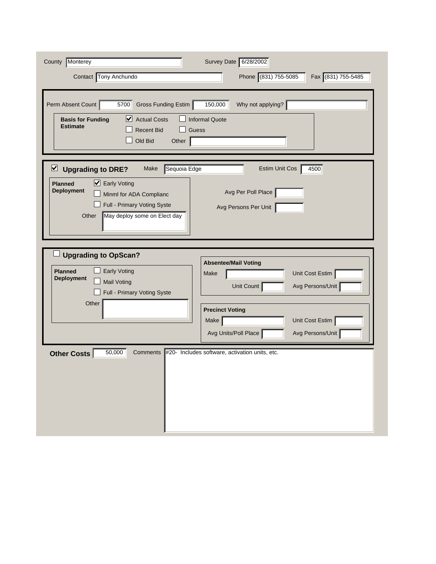| County Monterey<br>Contact Tony Anchundo                                                                                                                                                                          | Survey Date 6/28/2002<br>Phone (831) 755-5085<br>Fax (831) 755-5485                             |
|-------------------------------------------------------------------------------------------------------------------------------------------------------------------------------------------------------------------|-------------------------------------------------------------------------------------------------|
| Perm Absent Count<br>Gross Funding Estim<br>5700<br>$\vee$ Actual Costs<br><b>Basis for Funding</b><br><b>Estimate</b><br><b>Recent Bid</b><br>Old Bid<br>Other                                                   | 150,000<br>Why not applying?<br><b>Informal Quote</b><br>Guess                                  |
| Sequoia Edge<br>⊻<br><b>Upgrading to DRE?</b><br>Make<br>■ Early Voting<br><b>Planned</b><br><b>Deployment</b><br>Minml for ADA Complianc<br>Full - Primary Voting Syste<br>Other<br>May deploy some on Elect day | 4500<br><b>Estim Unit Cos</b><br>Avg Per Poll Place<br>Avg Persons Per Unit                     |
| <b>Upgrading to OpScan?</b><br><b>Early Voting</b><br><b>Planned</b><br><b>Deployment</b><br><b>Mail Voting</b><br>Full - Primary Voting Syste<br>Other                                                           | <b>Absentee/Mail Voting</b><br>Unit Cost Estim<br>Make<br>Avg Persons/Unit<br>Unit Count        |
|                                                                                                                                                                                                                   | <b>Precinct Voting</b><br>Make  <br>Unit Cost Estim<br>Avg Units/Poll Place<br>Avg Persons/Unit |
| 50,000<br><b>Other Costs</b><br>Comments                                                                                                                                                                          | #20- Includes software, activation units, etc.                                                  |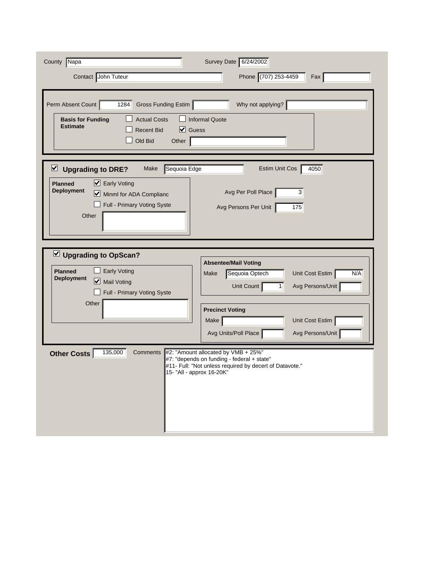| County<br>Napa<br>Contact John Tuteur                                                                                                                                             | Survey Date 6/24/2002<br>Phone (707) 253-4459<br>Fax                                                                                                                                                                  |
|-----------------------------------------------------------------------------------------------------------------------------------------------------------------------------------|-----------------------------------------------------------------------------------------------------------------------------------------------------------------------------------------------------------------------|
| Perm Absent Count<br>1284<br>Gross Funding Estim<br><b>Actual Costs</b><br><b>Basis for Funding</b><br><b>Estimate</b><br>V<br><b>Recent Bid</b><br>Old Bid<br>Other              | Why not applying?<br><b>Informal Quote</b><br>Guess                                                                                                                                                                   |
| Sequoia Edge<br>$\vee$ Upgrading to DRE?<br>Make<br>■ Early Voting<br><b>Planned</b><br><b>Deployment</b><br>M<br>Minml for ADA Complianc<br>Full - Primary Voting Syste<br>Other | 4050<br>Estim Unit Cos<br>Avg Per Poll Place<br>3<br>175<br>Avg Persons Per Unit                                                                                                                                      |
| $\vee$ Upgrading to OpScan?<br><b>Early Voting</b><br><b>Planned</b><br><b>Deployment</b><br>Mail Voting<br>Full - Primary Voting Syste<br>Other                                  | <b>Absentee/Mail Voting</b><br>Unit Cost Estim<br>N/A<br>Sequoia Optech<br>Make<br>Unit Count<br>Avg Persons/Unit<br>1<br><b>Precinct Voting</b><br>Unit Cost Estim<br>Make                                           |
| 135,000<br>Other Costs<br>Comments                                                                                                                                                | Avg Units/Poll Place<br>Avg Persons/Unit<br>#2: "Amount allocated by VMB + 25%"<br>#7: "depends on funding - federal + state"<br>#11- Full: "Not unless required by decert of Datavote."<br>15- "All - approx 16-20K" |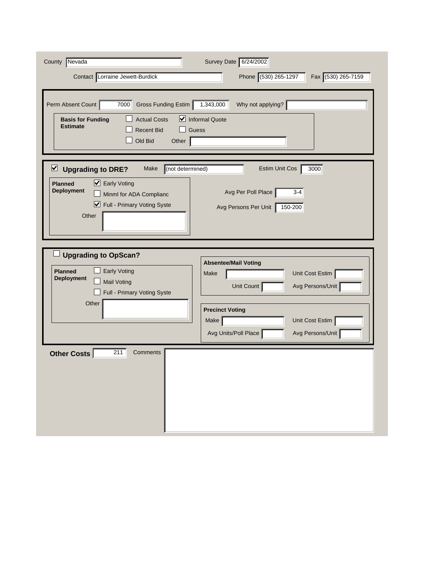| County Nevada<br>Contact Lorraine Jewett-Burdick                                                                                                                                        | Survey Date 6/24/2002<br>Phone (530) 265-1297<br>Fax (530) 265-7159                           |
|-----------------------------------------------------------------------------------------------------------------------------------------------------------------------------------------|-----------------------------------------------------------------------------------------------|
| Perm Absent Count<br>7000<br>Gross Funding Estim<br><b>Actual Costs</b><br><b>Basis for Funding</b><br><b>Estimate</b><br><b>Recent Bid</b><br>Old Bid<br>Other                         | 1,343,000<br>Why not applying?<br>Informal Quote<br>Guess                                     |
| (not determined)<br>⊻<br><b>Upgrading to DRE?</b><br>Make<br>■ Early Voting<br><b>Planned</b><br><b>Deployment</b><br>Minml for ADA Complianc<br>■ Full - Primary Voting Syste<br>Other | 3000<br>Estim Unit Cos<br>Avg Per Poll Place<br>$3-4$<br>Avg Persons Per Unit<br>150-200      |
| <b>Upgrading to OpScan?</b><br><b>Early Voting</b><br><b>Planned</b><br><b>Deployment</b><br><b>Mail Voting</b><br>Full - Primary Voting Syste<br>Other                                 | <b>Absentee/Mail Voting</b><br>Unit Cost Estim<br>Make<br>Avg Persons/Unit<br>Unit Count      |
|                                                                                                                                                                                         | <b>Precinct Voting</b><br>Unit Cost Estim<br>Make<br>Avg Units/Poll Place<br>Avg Persons/Unit |
| 211<br>Other Costs<br>Comments                                                                                                                                                          |                                                                                               |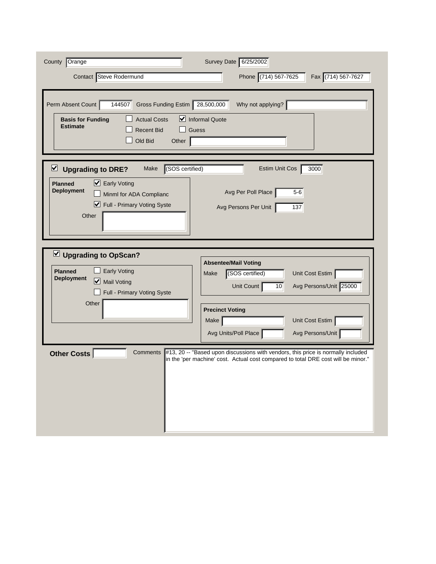| County Orange<br>Contact Steve Rodermund                                                                                                                                               | Survey Date 6/25/2002<br>Phone (714) 567-7625<br>Fax (714) 567-7627                                                                                                                                                                          |
|----------------------------------------------------------------------------------------------------------------------------------------------------------------------------------------|----------------------------------------------------------------------------------------------------------------------------------------------------------------------------------------------------------------------------------------------|
| Perm Absent Count<br>144507<br>Gross Funding Estim 28,500,000<br><b>Actual Costs</b><br><b>Basis for Funding</b><br><b>Estimate</b><br><b>Recent Bid</b><br>Old Bid<br>Other           | Why not applying?<br>Informal Quote<br>Guess                                                                                                                                                                                                 |
| (SOS certified)<br>⊻<br><b>Upgrading to DRE?</b><br>Make<br>■ Early Voting<br><b>Planned</b><br><b>Deployment</b><br>Minml for ADA Complianc<br>■ Full - Primary Voting Syste<br>Other | 3000<br><b>Estim Unit Cos</b><br>Avg Per Poll Place<br>$5-6$<br>Avg Persons Per Unit<br>137                                                                                                                                                  |
| $\vee$ Upgrading to OpScan?<br><b>Early Voting</b><br><b>Planned</b><br><b>Deployment</b><br>Mail Voting<br>Full - Primary Voting Syste<br>Other                                       | <b>Absentee/Mail Voting</b><br>(SOS certified)<br>Unit Cost Estim<br>Make<br>Avg Persons/Unit 25000<br>Unit Count<br>10<br><b>Precinct Voting</b>                                                                                            |
| <b>Other Costs</b><br>Comments                                                                                                                                                         | Unit Cost Estim<br>Make<br>Avg Units/Poll Place<br>Avg Persons/Unit<br>#13, 20 -- "Based upon discussions with vendors, this price is normally included<br>in the 'per machine' cost. Actual cost compared to total DRE cost will be minor." |
|                                                                                                                                                                                        |                                                                                                                                                                                                                                              |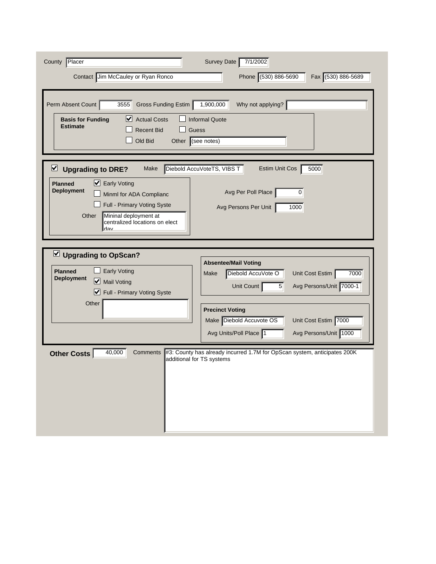| County Placer<br>Contact Jim McCauley or Ryan Ronco                                                                                                                                                                                 | Survey Date<br>7/1/2002<br>Phone (530) 886-5690<br>Fax (530) 886-5689                                                                                                                                                                                                            |
|-------------------------------------------------------------------------------------------------------------------------------------------------------------------------------------------------------------------------------------|----------------------------------------------------------------------------------------------------------------------------------------------------------------------------------------------------------------------------------------------------------------------------------|
| Perm Absent Count<br>Gross Funding Estim<br>3555<br>⊻<br><b>Actual Costs</b><br><b>Basis for Funding</b><br><b>Estimate</b><br><b>Recent Bid</b><br>Old Bid<br>Other (see notes)                                                    | 1,900,000<br>Why not applying?<br><b>Informal Quote</b><br>Guess                                                                                                                                                                                                                 |
| ⊻<br><b>Upgrading to DRE?</b><br>Make<br>■ Early Voting<br><b>Planned</b><br><b>Deployment</b><br>Minml for ADA Complianc<br>Full - Primary Voting Syste<br>Other<br>Mininal deployment at<br>centralized locations on elect<br>dav | Diebold AccuVoteTS, VIBS T<br>5000<br>Estim Unit Cos<br>Avg Per Poll Place<br>0<br>Avg Persons Per Unit<br>1000                                                                                                                                                                  |
| $\vee$ Upgrading to OpScan?<br><b>Early Voting</b><br><b>Planned</b><br><b>Deployment</b><br>Mail Voting<br>Full - Primary Voting Syste<br>Other                                                                                    | <b>Absentee/Mail Voting</b><br>Diebold AccuVote O<br>Unit Cost Estim<br>7000<br>Make<br>Avg Persons/Unit 7000-1<br>Unit Count<br>5 <sup>5</sup><br><b>Precinct Voting</b><br>Make Diebold Accuvote OS<br>Unit Cost Estim 7000<br>Avg Persons/Unit 1000<br>Avg Units/Poll Place 1 |
| 40,000<br>Comments<br><b>Other Costs</b>                                                                                                                                                                                            | #3: County has already incurred 1.7M for OpScan system, anticipates 200K<br>additional for TS systems                                                                                                                                                                            |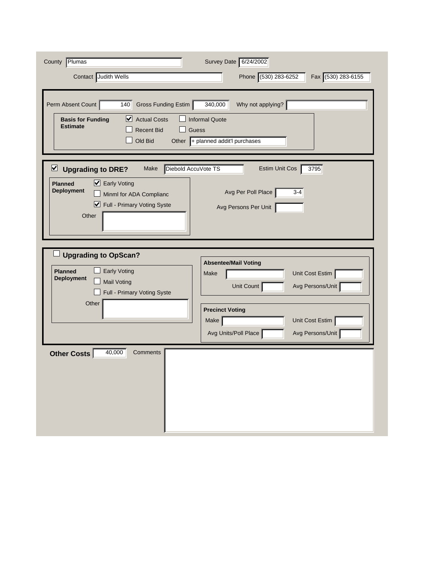| County Plumas                                                                                                                                                                                   | Survey Date 6/24/2002                                                                                           |
|-------------------------------------------------------------------------------------------------------------------------------------------------------------------------------------------------|-----------------------------------------------------------------------------------------------------------------|
| Contact Judith Wells                                                                                                                                                                            | Phone (530) 283-6252<br>Fax (530) 283-6155                                                                      |
| Perm Absent Count<br>140<br>Gross Funding Estim<br>$\triangleright$ Actual Costs<br><b>Basis for Funding</b><br><b>Estimate</b><br><b>Recent Bid</b><br>Old Bid                                 | Why not applying?<br>340,000<br><b>Informal Quote</b><br><b>Guess</b><br>Other $\ $ + planned addit'l purchases |
| Diebold AccuVote TS<br>$\triangleright$ Upgrading to DRE?<br>Make<br>■ Early Voting<br><b>Planned</b><br><b>Deployment</b><br>Minml for ADA Complianc<br>■ Full - Primary Voting Syste<br>Other | <b>Estim Unit Cos</b><br>3795<br>Avg Per Poll Place<br>$3 - 4$<br>Avg Persons Per Unit                          |
| <b>Upgrading to OpScan?</b><br><b>Early Voting</b><br><b>Planned</b><br><b>Deployment</b><br><b>Mail Voting</b><br>Full - Primary Voting Syste                                                  | <b>Absentee/Mail Voting</b><br>Unit Cost Estim<br>Make<br>Avg Persons/Unit<br>Unit Count                        |
| Other                                                                                                                                                                                           | <b>Precinct Voting</b><br>Make<br>Unit Cost Estim<br>Avg Units/Poll Place<br>Avg Persons/Unit                   |
| 40,000<br>Comments<br><b>Other Costs</b>                                                                                                                                                        |                                                                                                                 |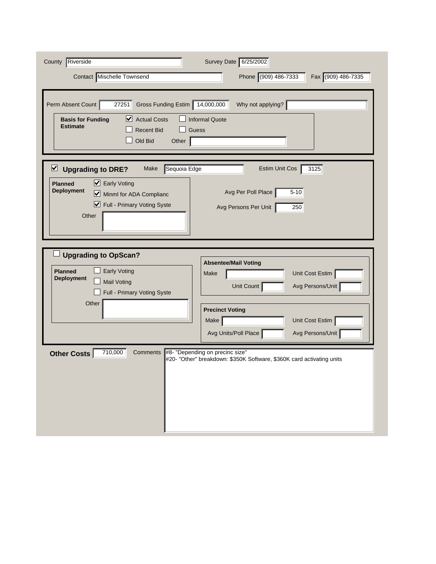| County Riverside<br>Contact Mischelle Townsend                                                                                                                                      | Survey Date 6/25/2002<br>Phone (909) 486-7333<br>Fax (909) 486-7335                                         |
|-------------------------------------------------------------------------------------------------------------------------------------------------------------------------------------|-------------------------------------------------------------------------------------------------------------|
| Perm Absent Count<br>27251<br>Gross Funding Estim 14,000,000<br>⊻<br><b>Actual Costs</b><br><b>Basis for Funding</b><br><b>Estimate</b><br><b>Recent Bid</b><br>Old Bid<br>Other    | Why not applying?<br><b>Informal Quote</b><br>Guess                                                         |
| Sequoia Edge<br>⊻<br><b>Upgrading to DRE?</b><br>Make<br>■ Early Voting<br><b>Planned</b><br><b>Deployment</b><br>Minml for ADA Complianc<br>■ Full - Primary Voting Syste<br>Other | $\overline{3125}$<br><b>Estim Unit Cos</b><br>$5 - 10$<br>Avg Per Poll Place<br>Avg Persons Per Unit<br>250 |
| <b>Upgrading to OpScan?</b><br><b>Early Voting</b><br><b>Planned</b><br><b>Deployment</b><br><b>Mail Voting</b><br>Full - Primary Voting Syste<br>Other                             | <b>Absentee/Mail Voting</b><br>Unit Cost Estim<br>Make<br>Avg Persons/Unit<br>Unit Count                    |
|                                                                                                                                                                                     | <b>Precinct Voting</b><br>Unit Cost Estim<br>Make<br>Avg Units/Poll Place<br>Avg Persons/Unit               |
| 710,000<br><b>Comments</b><br><b>Other Costs</b>                                                                                                                                    | #8- "Depending on precinc size"<br>#20- "Other" breakdown: \$350K Software, \$360K card activating units    |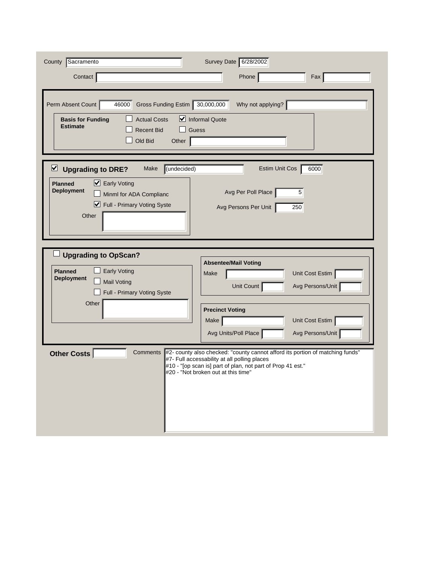| County Sacramento                                                                                           | Survey Date 6/28/2002                                                                                                                                                                                                               |
|-------------------------------------------------------------------------------------------------------------|-------------------------------------------------------------------------------------------------------------------------------------------------------------------------------------------------------------------------------------|
| Contact                                                                                                     | Phone<br>Fax                                                                                                                                                                                                                        |
| Gross Funding Estim 30,000,000<br>Perm Absent Count<br>46000                                                | Why not applying?                                                                                                                                                                                                                   |
| <b>Actual Costs</b><br><b>Basis for Funding</b><br><b>Estimate</b><br><b>Recent Bid</b><br>Old Bid<br>Other | $\triangleright$ Informal Quote<br>Guess                                                                                                                                                                                            |
| (undecided)<br>$\triangleright$<br><b>Upgrading to DRE?</b><br>Make                                         | 6000<br>Estim Unit Cos                                                                                                                                                                                                              |
| $\triangleright$ Early Voting<br><b>Planned</b><br><b>Deployment</b><br>Minml for ADA Complianc             | Avg Per Poll Place<br>5                                                                                                                                                                                                             |
| Full - Primary Voting Syste                                                                                 | 250<br>Avg Persons Per Unit                                                                                                                                                                                                         |
| Other                                                                                                       |                                                                                                                                                                                                                                     |
| <b>Upgrading to OpScan?</b>                                                                                 |                                                                                                                                                                                                                                     |
| <b>Early Voting</b><br><b>Planned</b>                                                                       | <b>Absentee/Mail Voting</b><br>Unit Cost Estim<br>Make                                                                                                                                                                              |
| <b>Deployment</b><br><b>Mail Voting</b><br>Full - Primary Voting Syste                                      | Unit Count<br>Avg Persons/Unit                                                                                                                                                                                                      |
| Other                                                                                                       | <b>Precinct Voting</b>                                                                                                                                                                                                              |
|                                                                                                             | Unit Cost Estim<br>Make                                                                                                                                                                                                             |
|                                                                                                             | Avg Units/Poll Place<br>Avg Persons/Unit                                                                                                                                                                                            |
| <b>Other Costs</b><br>Comments                                                                              | #2- county also checked: "county cannot afford its portion of matching funds"<br>#7- Full accessability at all polling places<br>#10 - "[op scan is] part of plan, not part of Prop 41 est."<br>#20 - "Not broken out at this time" |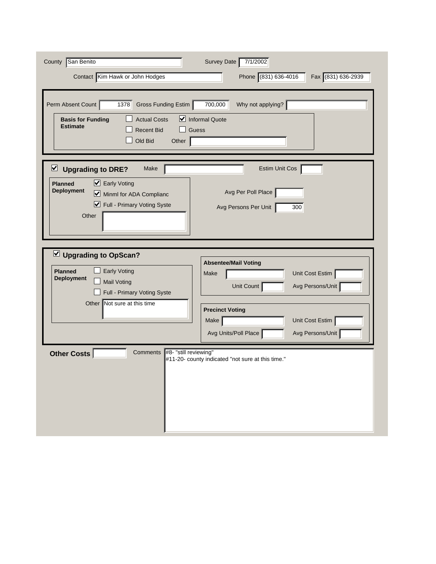| San Benito<br>County<br>Contact Kim Hawk or John Hodges                                                                                                             | Survey Date<br>7/1/2002<br>Phone (831) 636-4016<br>Fax (831) 636-2939                         |
|---------------------------------------------------------------------------------------------------------------------------------------------------------------------|-----------------------------------------------------------------------------------------------|
| Perm Absent Count<br>Gross Funding Estim<br>1378<br><b>Actual Costs</b><br><b>Basis for Funding</b><br><b>Estimate</b><br><b>Recent Bid</b><br>Old Bid<br>Other     | 700,000<br>Why not applying?<br>Informal Quote<br>Guess                                       |
| ⊻<br><b>Upgrading to DRE?</b><br>Make<br>■ Early Voting<br><b>Planned</b><br><b>Deployment</b><br>Minml for ADA Complianc<br>■ Full - Primary Voting Syste<br>Other | Estim Unit Cos<br>Avg Per Poll Place<br>Avg Persons Per Unit<br>300                           |
| Upgrading to OpScan?<br><b>Early Voting</b><br><b>Planned</b><br><b>Deployment</b><br><b>Mail Voting</b><br>Full - Primary Voting Syste                             | <b>Absentee/Mail Voting</b><br>Unit Cost Estim<br>Make<br>Avg Persons/Unit<br>Unit Count      |
| Not sure at this time<br>Other<br>#8- "still reviewing"<br><b>Comments</b>                                                                                          | <b>Precinct Voting</b><br>Make<br>Unit Cost Estim<br>Avg Persons/Unit<br>Avg Units/Poll Place |
| <b>Other Costs</b>                                                                                                                                                  | #11-20- county indicated "not sure at this time."                                             |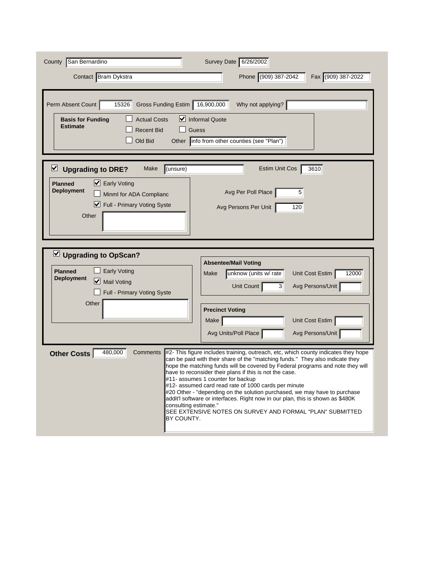| County San Bernardino                                                                                                                                                                                                                                                                                                                                                                                                                                                                                                                                                                                                                                                                                                  | Survey Date 6/26/2002                                                                                                                                                                                                                              |
|------------------------------------------------------------------------------------------------------------------------------------------------------------------------------------------------------------------------------------------------------------------------------------------------------------------------------------------------------------------------------------------------------------------------------------------------------------------------------------------------------------------------------------------------------------------------------------------------------------------------------------------------------------------------------------------------------------------------|----------------------------------------------------------------------------------------------------------------------------------------------------------------------------------------------------------------------------------------------------|
| Contact Bram Dykstra                                                                                                                                                                                                                                                                                                                                                                                                                                                                                                                                                                                                                                                                                                   | Phone (909) 387-2042<br>Fax (909) 387-2022                                                                                                                                                                                                         |
| Gross Funding Estim 16,900,000<br>Perm Absent Count<br>15326<br><b>Actual Costs</b><br><b>Basis for Funding</b><br><b>Estimate</b><br><b>Recent Bid</b><br>Guess<br>Old Bid<br>Other                                                                                                                                                                                                                                                                                                                                                                                                                                                                                                                                   | Why not applying?<br>$\vee$ Informal Quote<br>info from other counties (see "Plan")                                                                                                                                                                |
| ⊻<br>(unsure)<br><b>Upgrading to DRE?</b><br>Make<br>■ Early Voting<br><b>Planned</b><br><b>Deployment</b><br>Minml for ADA Complianc<br>Full - Primary Voting Syste<br>Other                                                                                                                                                                                                                                                                                                                                                                                                                                                                                                                                          | 3610<br><b>Estim Unit Cos</b><br>Avg Per Poll Place<br>5<br>Avg Persons Per Unit<br>120                                                                                                                                                            |
| $\vee$ Upgrading to OpScan?<br><b>Early Voting</b><br><b>Planned</b><br><b>Deployment</b><br>Mail Voting<br>Full - Primary Voting Syste<br>Other                                                                                                                                                                                                                                                                                                                                                                                                                                                                                                                                                                       | <b>Absentee/Mail Voting</b><br>Unit Cost Estim<br>12000<br>Make<br>unknow (units w/ rate<br><b>Unit Count</b><br>Avg Persons/Unit<br>$\mathbf{3}$<br><b>Precinct Voting</b><br>Unit Cost Estim<br>Make<br>Avg Units/Poll Place<br>Avg Persons/Unit |
| 480,000<br>Comments<br>#2- This figure includes training, outreach, etc, which county indicates they hope<br>Other Costs<br>can be paid with their share of the "matching funds." They also indicate they<br>hope the matching funds will be covered by Federal programs and note they will<br>have to reconsider their plans if this is not the case.<br>#11- assumes 1 counter for backup<br>#12- assumed card read rate of 1000 cards per minute<br>#20 Other - "depending on the solution purchased, we may have to purchase<br>addit'l software or interfaces. Right now in our plan, this is shown as \$480K<br>consulting estimate."<br>SEE EXTENSIVE NOTES ON SURVEY AND FORMAL "PLAN" SUBMITTED<br>BY COUNTY. |                                                                                                                                                                                                                                                    |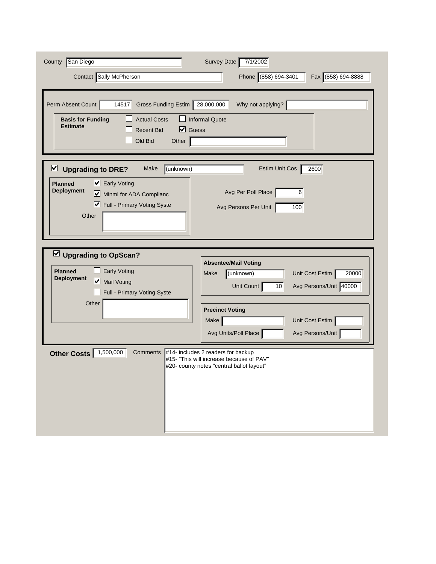| County San Diego<br>Contact Sally McPherson<br>Perm Absent Count<br>Gross Funding Estim<br>14517<br><b>Actual Costs</b><br><b>Basis for Funding</b><br><b>Estimate</b><br>$\triangledown$ Guess<br><b>Recent Bid</b><br>Old Bid<br>Other | Survey Date<br>7/1/2002<br>Phone (858) 694-3401<br>Fax (858) 694-8888<br>28,000,000<br>Why not applying?<br><b>Informal Quote</b>                                                                                           |
|------------------------------------------------------------------------------------------------------------------------------------------------------------------------------------------------------------------------------------------|-----------------------------------------------------------------------------------------------------------------------------------------------------------------------------------------------------------------------------|
| $\overline{\mathbf{v}}$<br>(unknown)<br><b>Upgrading to DRE?</b><br>Make<br>$\triangleright$ Early Voting<br><b>Planned</b><br><b>Deployment</b><br>Minml for ADA Complianc<br>■ Full - Primary Voting Syste<br>Other                    | <b>Estim Unit Cos</b><br>2600<br>Avg Per Poll Place<br>6<br>Avg Persons Per Unit<br>100                                                                                                                                     |
| $\vee$ Upgrading to OpScan?<br><b>Early Voting</b><br><b>Planned</b><br><b>Deployment</b><br>Mail Voting<br>Full - Primary Voting Syste<br>Other                                                                                         | <b>Absentee/Mail Voting</b><br>(unknown)<br>Unit Cost Estim<br>20000<br>Make<br>Avg Persons/Unit 40000<br>Unit Count<br>10<br><b>Precinct Voting</b><br>Unit Cost Estim<br>Make<br>Avg Units/Poll Place<br>Avg Persons/Unit |
| 1,500,000<br>Other Costs<br>Comments                                                                                                                                                                                                     | #14- includes 2 readers for backup<br>#15- "This will increase because of PAV"<br>#20- county notes "central ballot layout"                                                                                                 |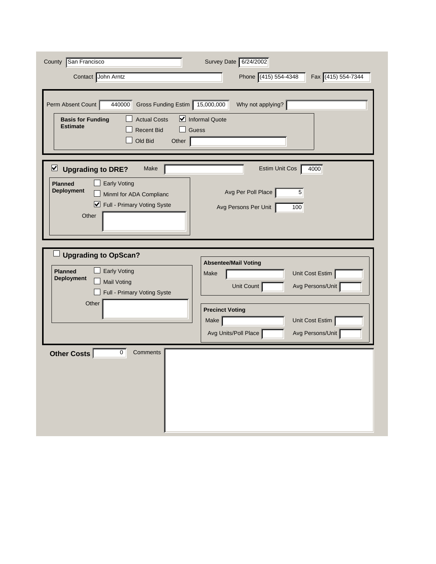| County San Francisco<br>Contact John Arntz                                                                                                                               | Survey Date 6/24/2002<br>Phone (415) 554-4348<br>Fax (415) 554-7344                           |
|--------------------------------------------------------------------------------------------------------------------------------------------------------------------------|-----------------------------------------------------------------------------------------------|
| Perm Absent Count<br>440000<br>Gross Funding Estim<br><b>Actual Costs</b><br><b>Basis for Funding</b><br><b>Estimate</b><br><b>Recent Bid</b><br>Old Bid<br>Other        | Why not applying?<br>15,000,000<br>Informal Quote<br>Guess                                    |
| ⊻<br><b>Upgrading to DRE?</b><br>Make<br><b>Planned</b><br><b>Early Voting</b><br><b>Deployment</b><br>Minml for ADA Complianc<br>■ Full - Primary Voting Syste<br>Other | 4000<br>Estim Unit Cos<br>Avg Per Poll Place<br>5 <sup>5</sup><br>Avg Persons Per Unit<br>100 |
| <b>Upgrading to OpScan?</b><br><b>Planned</b><br><b>Early Voting</b><br><b>Deployment</b><br><b>Mail Voting</b><br>Full - Primary Voting Syste                           | <b>Absentee/Mail Voting</b><br>Unit Cost Estim<br>Make<br>Unit Count<br>Avg Persons/Unit      |
| Other                                                                                                                                                                    | <b>Precinct Voting</b><br>Unit Cost Estim<br>Make<br>Avg Persons/Unit<br>Avg Units/Poll Place |
| Other Costs<br>$\mathbf 0$<br>Comments                                                                                                                                   |                                                                                               |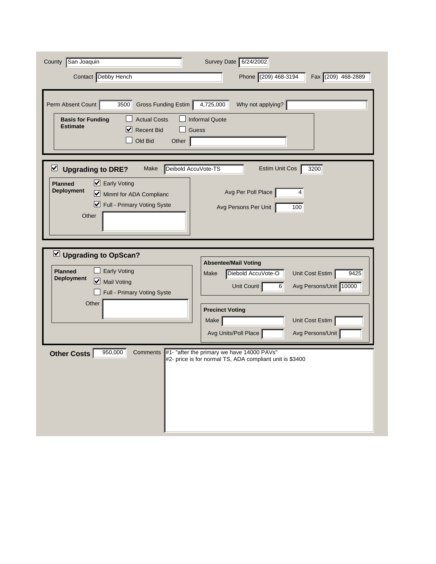| San Joaquin<br>County<br>Contact Debby Hench                                                                                                                         | Survey Date 6/24/2002<br>Phone (209) 468-3194<br>Fax (209) 468-2889                                                                                                                                   |
|----------------------------------------------------------------------------------------------------------------------------------------------------------------------|-------------------------------------------------------------------------------------------------------------------------------------------------------------------------------------------------------|
| Perm Absent Count<br>Gross Funding Estim<br>3500<br><b>Actual Costs</b><br><b>Basis for Funding</b><br><b>Estimate</b><br>⋈<br><b>Recent Bid</b><br>Old Bid<br>Other | Why not applying?<br>4,725,000<br><b>Informal Quote</b><br><b>Guess</b>                                                                                                                               |
| ⊻<br><b>Upgrading to DRE?</b><br>Make<br>■ Early Voting<br><b>Planned</b><br><b>Deployment</b><br>Minml for ADA Complianc<br>■ Full - Primary Voting Syste<br>Other  | Deibold AccuVote-TS<br><b>Estim Unit Cos</b><br>3200<br>Avg Per Poll Place<br>4<br>Avg Persons Per Unit<br>100                                                                                        |
| $\vee$ Upgrading to OpScan?<br><b>Early Voting</b><br><b>Planned</b><br><b>Deployment</b><br>Mail Voting<br>Full - Primary Voting Syste<br>Other                     | <b>Absentee/Mail Voting</b><br>Diebold AccuVote-O<br>Unit Cost Estim<br>Make<br>9425<br>Avg Persons/Unit 10000<br>Unit Count<br>$6 \overline{6}$<br><b>Precinct Voting</b><br>Unit Cost Estim<br>Make |
| 950,000<br><b>Comments</b><br><b>Other Costs</b>                                                                                                                     | Avg Units/Poll Place<br>Avg Persons/Unit<br>#1- "after the primary we have 14000 PAVs"<br>#2- price is for normal TS, ADA compliant unit is \$3400                                                    |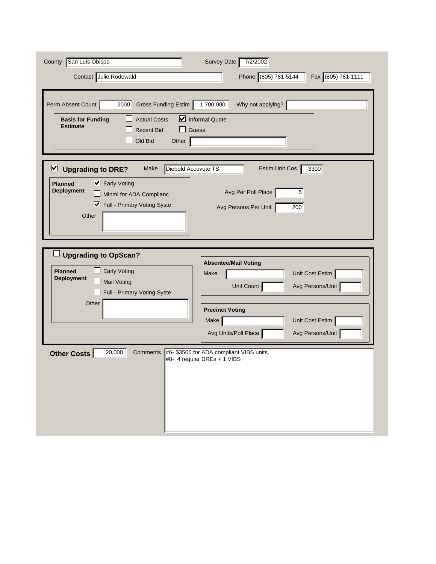| San Luis Obispo<br>County<br>Contact Julie Rodewald                                                                                                                                                       | Survey Date<br>7/2/2002<br>Phone (805) 781-5144<br>Fax (805) 781-1111                                                                     |
|-----------------------------------------------------------------------------------------------------------------------------------------------------------------------------------------------------------|-------------------------------------------------------------------------------------------------------------------------------------------|
| Perm Absent Count<br>Gross Funding Estim<br>2000<br><b>Actual Costs</b><br><b>Basis for Funding</b><br><b>Estimate</b><br><b>Recent Bid</b><br>Old Bid<br>Other                                           | Why not applying?<br>1,700,000<br>$\triangleright$ Informal Quote<br><b>Guess</b>                                                         |
| $\triangleright$<br>Diebold Accuvote TS<br><b>Upgrading to DRE?</b><br>Make<br>■ Early Voting<br><b>Planned</b><br><b>Deployment</b><br>Minml for ADA Complianc<br>■ Full - Primary Voting Syste<br>Other | 3300<br>Estim Unit Cos<br>Avg Per Poll Place<br>5<br>Avg Persons Per Unit<br>200                                                          |
| <b>Upgrading to OpScan?</b><br><b>Planned</b><br><b>Early Voting</b><br><b>Deployment</b><br><b>Mail Voting</b><br>Full - Primary Voting Syste<br>Other                                                   | <b>Absentee/Mail Voting</b><br>Unit Cost Estim<br>Make<br>Avg Persons/Unit<br>Unit Count                                                  |
| 20,000<br>Comments                                                                                                                                                                                        | <b>Precinct Voting</b><br>Unit Cost Estim<br>Make<br>Avg Units/Poll Place<br>Avg Persons/Unit<br>#6- \$3500 for ADA compliant VIBS units. |
| <b>Other Costs</b>                                                                                                                                                                                        | #8- 4 regular DREs + 1 VIBS                                                                                                               |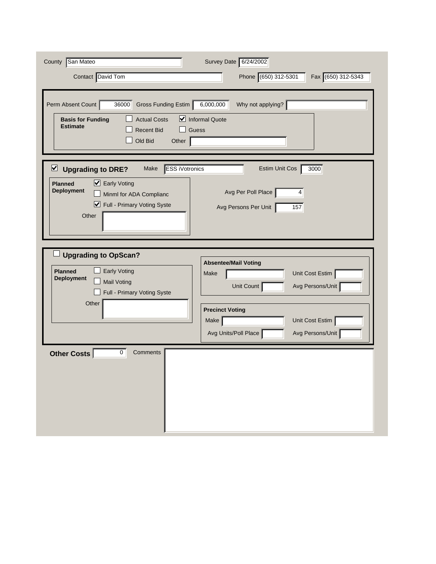| County San Mateo<br>Contact David Tom                                                                                                                                                        | Survey Date 6/24/2002<br>Phone (650) 312-5301<br>Fax (650) 312-5343                           |
|----------------------------------------------------------------------------------------------------------------------------------------------------------------------------------------------|-----------------------------------------------------------------------------------------------|
| Perm Absent Count<br>36000<br>Gross Funding Estim<br><b>Actual Costs</b><br><b>Basis for Funding</b><br><b>Estimate</b><br><b>Recent Bid</b><br>Old Bid<br>Other                             | Why not applying?<br>6,000,000<br>Informal Quote<br>Guess                                     |
| <b>ESS iVotronics</b><br>⊻<br><b>Upgrading to DRE?</b><br>Make<br>■ Early Voting<br><b>Planned</b><br><b>Deployment</b><br>Minml for ADA Complianc<br>■ Full - Primary Voting Syste<br>Other | 3000<br>Estim Unit Cos<br>Avg Per Poll Place<br>4<br>Avg Persons Per Unit<br>157              |
| <b>Upgrading to OpScan?</b><br><b>Planned</b><br><b>Early Voting</b><br><b>Deployment</b><br><b>Mail Voting</b><br>Full - Primary Voting Syste                                               | <b>Absentee/Mail Voting</b><br>Unit Cost Estim<br>Make<br>Unit Count<br>Avg Persons/Unit      |
| Other                                                                                                                                                                                        | <b>Precinct Voting</b><br>Unit Cost Estim<br>Make<br>Avg Persons/Unit<br>Avg Units/Poll Place |
| Other Costs<br>$\mathbf 0$<br>Comments                                                                                                                                                       |                                                                                               |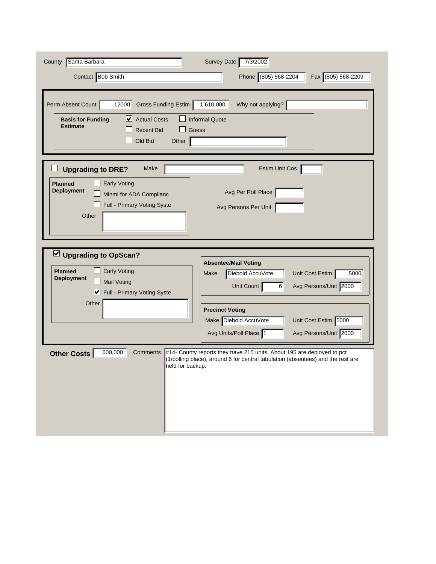| Santa Barbara<br>County<br>Contact Bob Smith                                                                                                                          | Survey Date<br>7/3/2002<br>Phone (805) 568-2204<br>Fax (805) 568-2209                                                                                                                                                                                         |
|-----------------------------------------------------------------------------------------------------------------------------------------------------------------------|---------------------------------------------------------------------------------------------------------------------------------------------------------------------------------------------------------------------------------------------------------------|
| Perm Absent Count<br>12000<br>Gross Funding Estim<br>⊻<br><b>Actual Costs</b><br><b>Basis for Funding</b><br><b>Estimate</b><br><b>Recent Bid</b><br>Old Bid<br>Other | 1,610,000<br>Why not applying?<br><b>Informal Quote</b><br>Guess                                                                                                                                                                                              |
| <b>Upgrading to DRE?</b><br>Make<br><b>Early Voting</b><br><b>Planned</b><br><b>Deployment</b><br>Minml for ADA Complianc<br>Full - Primary Voting Syste<br>Other     | Estim Unit Cos<br>Avg Per Poll Place<br>Avg Persons Per Unit                                                                                                                                                                                                  |
| U Upgrading to OpScan?<br><b>Early Voting</b><br><b>Planned</b><br><b>Deployment</b><br><b>Mail Voting</b><br>Full - Primary Voting Syste<br>Other                    | <b>Absentee/Mail Voting</b><br>Diebold AccuVote<br>Unit Cost Estim<br>Make<br>5000<br>Avg Persons/Unit 2000<br>Unit Count<br>$6 \overline{6}$<br><b>Precinct Voting</b>                                                                                       |
| 600,000<br>Comments<br><b>Other Costs</b><br>held for backup.                                                                                                         | Make Diebold AccuVote<br>Unit Cost Estim 5000<br>Avg Persons/Unit 2000<br>Avg Units/Poll Place 1<br>#14- County reports they have 215 units. About 195 are deployed to pct<br>(1/polling place), around 6 for central tabulation (absentees) and the rest are |
|                                                                                                                                                                       |                                                                                                                                                                                                                                                               |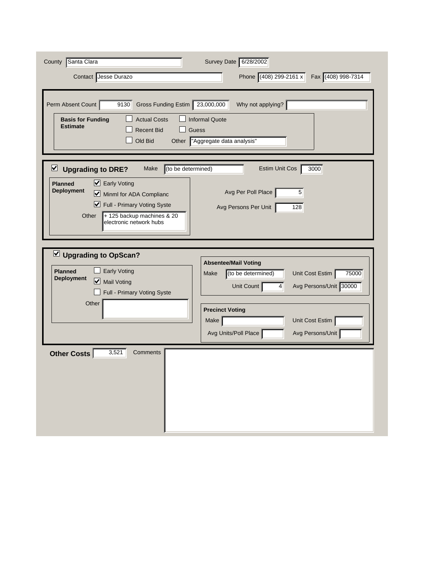| County Santa Clara<br>Contact Jesse Durazo                                                                                                                                                                                                              | Survey Date 6/28/2002<br>Phone (408) 299-2161 x<br>Fax (408) 998-7314                                                                                                                         |
|---------------------------------------------------------------------------------------------------------------------------------------------------------------------------------------------------------------------------------------------------------|-----------------------------------------------------------------------------------------------------------------------------------------------------------------------------------------------|
| Gross Funding Estim 23,000,000<br>Perm Absent Count<br>9130<br><b>Actual Costs</b><br><b>Basis for Funding</b><br><b>Estimate</b><br><b>Recent Bid</b><br>Old Bid<br>Other                                                                              | Why not applying?<br><b>Informal Quote</b><br>Guess<br>"Aggregate data analysis"                                                                                                              |
| (to be determined)<br>$\triangleright$ Upgrading to DRE?<br>Make<br>■ Early Voting<br><b>Planned</b><br><b>Deployment</b><br>Minml for ADA Complianc<br>■ Full - Primary Voting Syste<br>Other<br>+ 125 backup machines & 20<br>electronic network hubs | Estim Unit Cos<br>3000<br>Avg Per Poll Place<br>5<br>Avg Persons Per Unit<br>128                                                                                                              |
| Upgrading to OpScan?<br><b>Early Voting</b><br><b>Planned</b><br><b>Deployment</b><br>Mail Voting<br>Full - Primary Voting Syste<br>Other                                                                                                               | <b>Absentee/Mail Voting</b><br>Unit Cost Estim<br>(to be determined)<br>75000<br>Make<br>Unit Count<br>Avg Persons/Unit 30000<br>$\vert$<br><b>Precinct Voting</b><br>Unit Cost Estim<br>Make |
| 3,521<br>Other Costs<br>Comments                                                                                                                                                                                                                        | Avg Units/Poll Place<br>Avg Persons/Unit                                                                                                                                                      |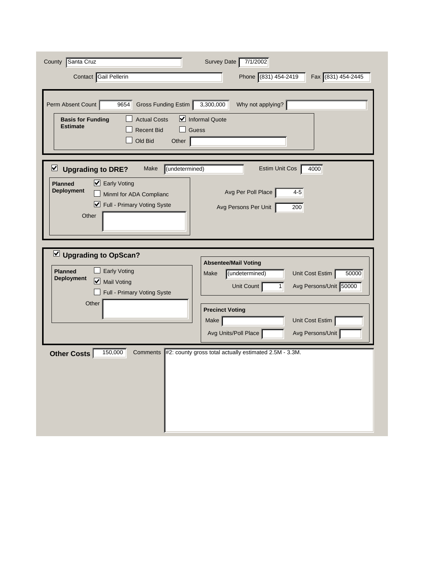| County Santa Cruz<br>Contact Gail Pellerin<br>Perm Absent Count<br>Gross Funding Estim<br>9654<br><b>Actual Costs</b><br><b>Basis for Funding</b><br><b>Estimate</b><br><b>Recent Bid</b> | Survey Date<br>7/1/2002<br>Phone (831) 454-2419<br>Fax (831) 454-2445<br>Why not applying?<br>3,300,000<br>$\triangleright$ Informal Quote<br>Guess |
|-------------------------------------------------------------------------------------------------------------------------------------------------------------------------------------------|-----------------------------------------------------------------------------------------------------------------------------------------------------|
| Old Bid<br>Other<br>$\overline{\mathbf{v}}$<br>(undetermined)<br><b>Upgrading to DRE?</b><br>Make<br>■ Early Voting<br><b>Planned</b>                                                     | 4000<br>Estim Unit Cos                                                                                                                              |
| <b>Deployment</b><br>Minml for ADA Complianc<br>■ Full - Primary Voting Syste<br>Other                                                                                                    | Avg Per Poll Place<br>$4 - 5$<br>Avg Persons Per Unit<br>200                                                                                        |
| Upgrading to OpScan?<br><b>Planned</b><br><b>Early Voting</b><br><b>Deployment</b><br>Mail Voting<br>Full - Primary Voting Syste                                                          | <b>Absentee/Mail Voting</b><br>(undetermined)<br>Unit Cost Estim<br>50000<br>Make<br>Avg Persons/Unit 50000<br>Unit Count<br>1                      |
| Other                                                                                                                                                                                     | <b>Precinct Voting</b><br>Unit Cost Estim<br>Make<br>Avg Units/Poll Place<br>Avg Persons/Unit                                                       |
| 150,000<br>Comments<br><b>Other Costs</b>                                                                                                                                                 | #2: county gross total actually estimated 2.5M - 3.3M.                                                                                              |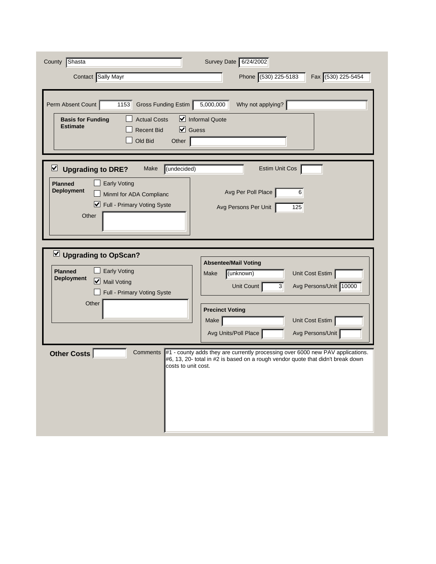| County Shasta<br>Contact Sally Mayr                                                                                                                                                      | Survey Date 6/24/2002<br>Phone (530) 225-5183<br>Fax (530) 225-5454                                                                                               |
|------------------------------------------------------------------------------------------------------------------------------------------------------------------------------------------|-------------------------------------------------------------------------------------------------------------------------------------------------------------------|
| Perm Absent Count<br>Gross Funding Estim<br>1153<br><b>Actual Costs</b><br><b>Basis for Funding</b><br><b>Estimate</b><br>$\triangledown$ Guess<br><b>Recent Bid</b><br>Old Bid<br>Other | 5,000,000<br>Why not applying?<br>Informal Quote                                                                                                                  |
| ⊻<br>(undecided)<br><b>Upgrading to DRE?</b><br>Make<br><b>Early Voting</b><br><b>Planned</b><br><b>Deployment</b><br>Minml for ADA Complianc<br>■ Full - Primary Voting Syste<br>Other  | Estim Unit Cos<br>Avg Per Poll Place<br>6<br>Avg Persons Per Unit<br>125                                                                                          |
| U Upgrading to OpScan?<br><b>Early Voting</b><br><b>Planned</b><br><b>Deployment</b><br>Mail Voting<br>Full - Primary Voting Syste<br>Other                                              | <b>Absentee/Mail Voting</b><br>(unknown)<br>Unit Cost Estim<br>Make<br>Avg Persons/Unit 10000<br>$\overline{3}$<br>Unit Count                                     |
|                                                                                                                                                                                          | <b>Precinct Voting</b><br>Unit Cost Estim<br>Make<br>Avg Units/Poll Place<br>Avg Persons/Unit                                                                     |
| <b>Other Costs</b><br>Comments<br>costs to unit cost.                                                                                                                                    | #1 - county adds they are currently processing over 6000 new PAV applications.<br>#6, 13, 20- total in #2 is based on a rough vendor quote that didn't break down |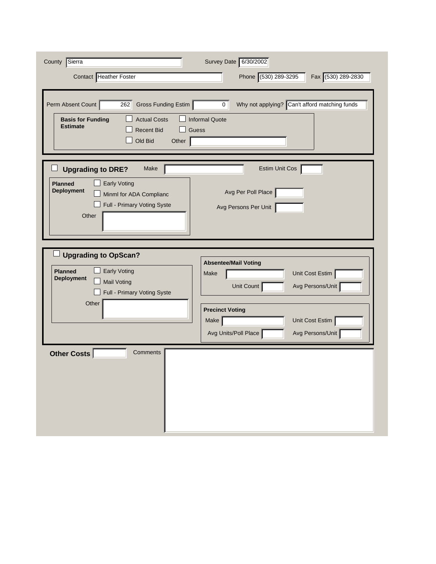| County Sierra<br>Contact Heather Foster                                                                                                                           | Survey Date 6/30/2002<br>Phone (530) 289-3295<br>Fax (530) 289-2830                               |
|-------------------------------------------------------------------------------------------------------------------------------------------------------------------|---------------------------------------------------------------------------------------------------|
| Perm Absent Count<br>Gross Funding Estim<br>262<br><b>Actual Costs</b><br><b>Basis for Funding</b><br><b>Estimate</b><br><b>Recent Bid</b><br>Old Bid<br>Other    | Why not applying? Can't afford matching funds<br>$\overline{0}$<br><b>Informal Quote</b><br>Guess |
| <b>Upgrading to DRE?</b><br>Make<br><b>Planned</b><br><b>Early Voting</b><br><b>Deployment</b><br>Minml for ADA Complianc<br>Full - Primary Voting Syste<br>Other | Estim Unit Cos<br>Avg Per Poll Place<br>Avg Persons Per Unit                                      |
| <b>Upgrading to OpScan?</b><br><b>Planned</b><br><b>Early Voting</b><br><b>Deployment</b><br><b>Mail Voting</b><br>Full - Primary Voting Syste                    | <b>Absentee/Mail Voting</b><br>Unit Cost Estim<br>Make<br>Unit Count<br>Avg Persons/Unit          |
| Other                                                                                                                                                             | <b>Precinct Voting</b><br>Unit Cost Estim<br>Make<br>Avg Persons/Unit<br>Avg Units/Poll Place     |
| Other Costs<br>Comments                                                                                                                                           |                                                                                                   |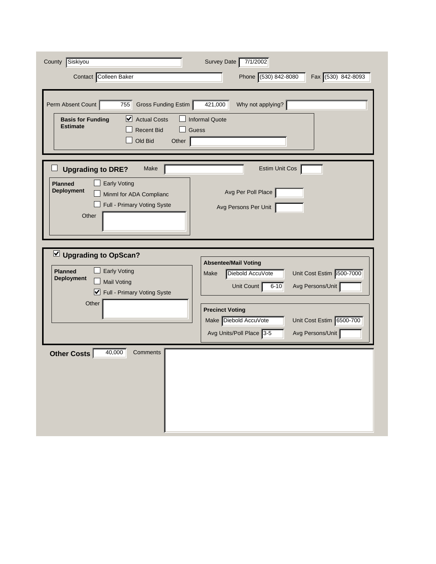| County Siskiyou<br>Contact Colleen Baker                                                                                                                                 | Survey Date<br>7/1/2002<br>Phone (530) 842-8080<br>Fax (530) 842-8093                                                                                        |
|--------------------------------------------------------------------------------------------------------------------------------------------------------------------------|--------------------------------------------------------------------------------------------------------------------------------------------------------------|
| Perm Absent Count<br>755<br>Gross Funding Estim<br>$\triangleright$ Actual Costs<br><b>Basis for Funding</b><br><b>Estimate</b><br><b>Recent Bid</b><br>Old Bid<br>Other | 421,000<br>Why not applying?<br><b>Informal Quote</b><br><b>Guess</b>                                                                                        |
| <b>Upgrading to DRE?</b><br>Make<br><b>Early Voting</b><br><b>Planned</b><br><b>Deployment</b><br>Minml for ADA Complianc<br>Full - Primary Voting Syste<br>Other        | Estim Unit Cos<br>Avg Per Poll Place<br>Avg Persons Per Unit                                                                                                 |
| Upgrading to OpScan?<br><b>Early Voting</b><br><b>Planned</b><br><b>Deployment</b><br><b>Mail Voting</b><br>Full - Primary Voting Syste<br>Other                         | <b>Absentee/Mail Voting</b><br>Diebold AccuVote<br>Unit Cost Estim 6500-7000<br>Make<br>Avg Persons/Unit<br>Unit Count<br>$6 - 10$<br><b>Precinct Voting</b> |
|                                                                                                                                                                          | Make Diebold AccuVote<br>Unit Cost Estim 6500-700<br>Avg Units/Poll Place 3-5<br>Avg Persons/Unit                                                            |
| 40,000<br>Comments<br><b>Other Costs</b>                                                                                                                                 |                                                                                                                                                              |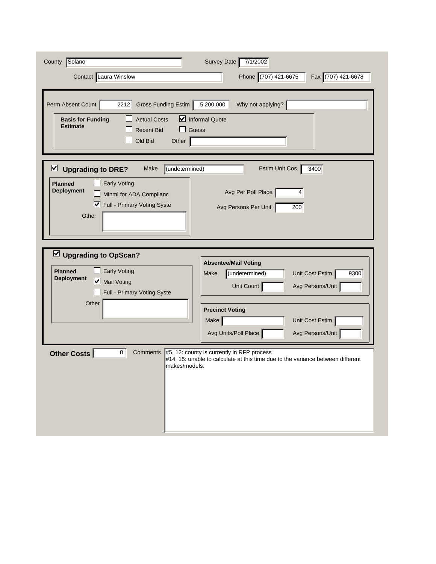| County Solano<br>Contact Laura Winslow                                                                                                                                                     | Survey Date<br>7/1/2002<br>Phone (707) 421-6675<br>Fax (707) 421-6678                                                                                                                                |
|--------------------------------------------------------------------------------------------------------------------------------------------------------------------------------------------|------------------------------------------------------------------------------------------------------------------------------------------------------------------------------------------------------|
| Perm Absent Count<br>2212<br>Gross Funding Estim<br><b>Actual Costs</b><br><b>Basis for Funding</b><br><b>Estimate</b><br><b>Recent Bid</b><br>Old Bid<br>Other                            | 5,200,000<br>Why not applying?<br>Informal Quote<br>Guess                                                                                                                                            |
| (undetermined)<br>⊻<br><b>Upgrading to DRE?</b><br>Make<br><b>Early Voting</b><br><b>Planned</b><br><b>Deployment</b><br>Minml for ADA Complianc<br>■ Full - Primary Voting Syste<br>Other | 3400<br>Estim Unit Cos<br>Avg Per Poll Place<br>4<br>Avg Persons Per Unit<br>200                                                                                                                     |
| Upgrading to OpScan?<br><b>Early Voting</b><br><b>Planned</b><br><b>Deployment</b><br>Mail Voting<br>Full - Primary Voting Syste<br>Other                                                  | <b>Absentee/Mail Voting</b><br>Unit Cost Estim<br>(undetermined)<br>9300<br>Make<br>Avg Persons/Unit<br>Unit Count<br><b>Precinct Voting</b>                                                         |
| $\mathbf 0$<br>Comments<br><b>Other Costs</b><br>makes/models.                                                                                                                             | Unit Cost Estim<br>Make<br>Avg Units/Poll Place<br>Avg Persons/Unit<br>#5, 12: county is currently in RFP process<br>#14, 15: unable to calculate at this time due to the variance between different |
|                                                                                                                                                                                            |                                                                                                                                                                                                      |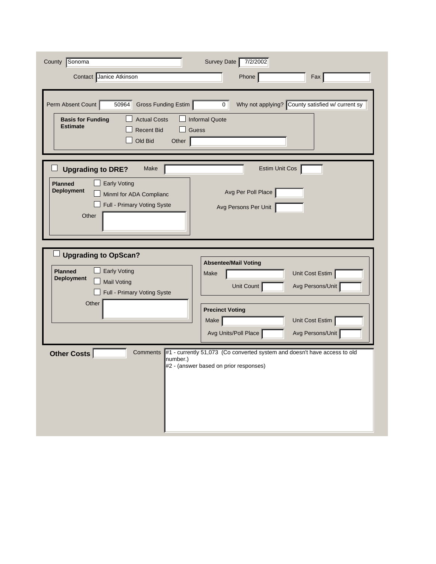| County Sonoma                                                                                                                                                    | Survey Date<br>7/2/2002                                                                                             |
|------------------------------------------------------------------------------------------------------------------------------------------------------------------|---------------------------------------------------------------------------------------------------------------------|
| Contact Janice Atkinson                                                                                                                                          | Phone<br>Fax                                                                                                        |
| Perm Absent Count<br>50964<br>Gross Funding Estim<br><b>Actual Costs</b><br><b>Basis for Funding</b><br><b>Estimate</b><br><b>Recent Bid</b><br>Old Bid<br>Other | Why not applying? County satisfied w/ current sy<br>0 <sup>1</sup><br><b>Informal Quote</b><br><b>Guess</b>         |
| Make<br><b>Upgrading to DRE?</b>                                                                                                                                 | Estim Unit Cos                                                                                                      |
| <b>Early Voting</b><br><b>Planned</b><br><b>Deployment</b><br>Minml for ADA Complianc<br>Full - Primary Voting Syste<br>Other                                    | Avg Per Poll Place<br>Avg Persons Per Unit                                                                          |
| <b>Upgrading to OpScan?</b><br>Early Voting<br><b>Planned</b><br><b>Deployment</b><br><b>Mail Voting</b><br>Full - Primary Voting Syste                          | <b>Absentee/Mail Voting</b><br>Unit Cost Estim<br>Make<br>Unit Count<br>Avg Persons/Unit                            |
| Other                                                                                                                                                            | <b>Precinct Voting</b><br>Unit Cost Estim<br>Make<br>Avg Units/Poll Place<br>Avg Persons/Unit                       |
| <b>Comments</b><br><b>Other Costs</b><br>number.)                                                                                                                | #1 - currently 51,073 (Co converted system and doesn't have access to old<br>#2 - (answer based on prior responses) |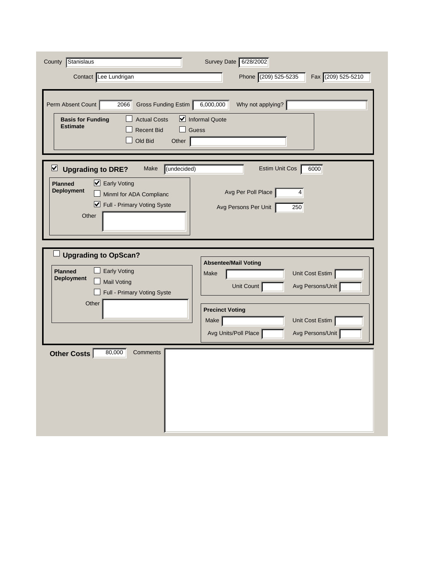| County Stanislaus<br>Contact Lee Lundrigan<br>Perm Absent Count<br>Gross Funding Estim<br>2066                                                                                     | Survey Date 6/28/2002<br>Phone (209) 525-5235<br>Fax (209) 525-5210<br>Why not applying?<br>6,000,000 |
|------------------------------------------------------------------------------------------------------------------------------------------------------------------------------------|-------------------------------------------------------------------------------------------------------|
| <b>Actual Costs</b><br><b>Basis for Funding</b><br><b>Estimate</b><br><b>Recent Bid</b><br>Old Bid<br>Other                                                                        | Informal Quote<br>Guess                                                                               |
| ⊻<br>(undecided)<br><b>Upgrading to DRE?</b><br>Make<br>■ Early Voting<br><b>Planned</b><br><b>Deployment</b><br>Minml for ADA Complianc<br>■ Full - Primary Voting Syste<br>Other | 6000<br>Estim Unit Cos<br>Avg Per Poll Place<br>4<br>Avg Persons Per Unit<br>250                      |
| <b>Upgrading to OpScan?</b><br><b>Planned</b><br><b>Early Voting</b><br><b>Deployment</b><br><b>Mail Voting</b><br>Full - Primary Voting Syste                                     | <b>Absentee/Mail Voting</b><br>Unit Cost Estim<br>Make<br>Unit Count<br>Avg Persons/Unit              |
| Other                                                                                                                                                                              | <b>Precinct Voting</b><br>Unit Cost Estim<br>Make<br>Avg Units/Poll Place<br>Avg Persons/Unit         |
| 80,000<br><b>Other Costs</b><br>Comments                                                                                                                                           |                                                                                                       |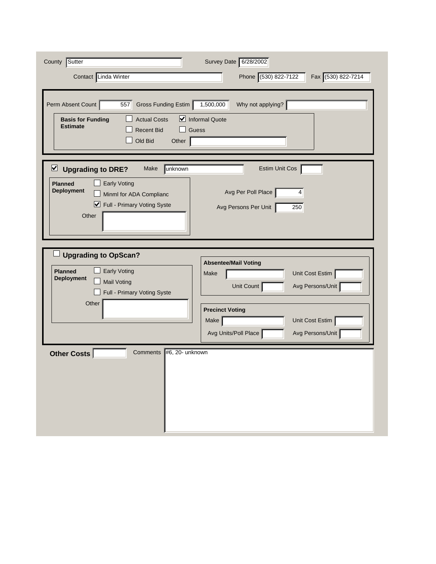| County Sutter<br>Contact Linda Winter                                                                                                                                                 | Survey Date 6/28/2002<br>Phone (530) 822-7122<br>Fax (530) 822-7214                           |
|---------------------------------------------------------------------------------------------------------------------------------------------------------------------------------------|-----------------------------------------------------------------------------------------------|
| Perm Absent Count<br>557<br>Gross Funding Estim<br><b>Actual Costs</b><br><b>Basis for Funding</b><br><b>Estimate</b><br><b>Recent Bid</b><br>Old Bid<br>Other                        | Why not applying?<br>1,500,000<br>Informal Quote<br>Guess                                     |
| $\triangledown$ Upgrading to DRE?<br>unknown<br>Make<br><b>Early Voting</b><br><b>Planned</b><br><b>Deployment</b><br>Minml for ADA Complianc<br>Full - Primary Voting Syste<br>Other | Estim Unit Cos<br>Avg Per Poll Place<br>4<br>Avg Persons Per Unit<br>250                      |
| <b>Upgrading to OpScan?</b><br><b>Early Voting</b><br><b>Planned</b><br><b>Deployment</b><br><b>Mail Voting</b><br>Full - Primary Voting Syste                                        | <b>Absentee/Mail Voting</b><br>Unit Cost Estim<br>Make<br>Unit Count<br>Avg Persons/Unit      |
| Other                                                                                                                                                                                 | <b>Precinct Voting</b><br>Unit Cost Estim<br>Make<br>Avg Units/Poll Place<br>Avg Persons/Unit |
| #6, 20- unknown<br><b>Comments</b><br>Other Costs                                                                                                                                     |                                                                                               |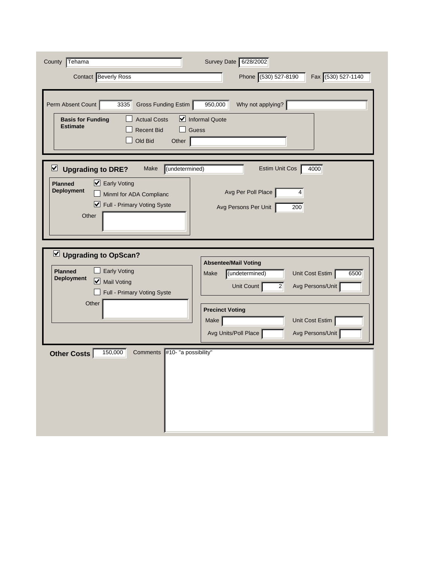| Tehama<br>County                                                          | Survey Date 6/28/2002                             |
|---------------------------------------------------------------------------|---------------------------------------------------|
| Contact Beverly Ross                                                      | Phone (530) 527-8190<br>Fax (530) 527-1140        |
|                                                                           |                                                   |
| Perm Absent Count<br>Gross Funding Estim<br>3335                          | 950,000<br>Why not applying?                      |
| <b>Actual Costs</b><br><b>Basis for Funding</b><br><b>Estimate</b>        | $\triangleright$ Informal Quote                   |
| <b>Recent Bid</b>                                                         | Guess                                             |
| Old Bid<br>Other                                                          |                                                   |
| (undetermined)<br>$\triangleright$ Upgrading to DRE?<br>Make              | 4000<br>Estim Unit Cos                            |
| ■ Early Voting<br><b>Planned</b>                                          |                                                   |
| <b>Deployment</b><br>Minml for ADA Complianc                              | Avg Per Poll Place<br>4                           |
| ■ Full - Primary Voting Syste                                             | Avg Persons Per Unit<br>200                       |
| Other                                                                     |                                                   |
|                                                                           |                                                   |
| Upgrading to OpScan?                                                      |                                                   |
|                                                                           | <b>Absentee/Mail Voting</b>                       |
| <b>Early Voting</b><br><b>Planned</b><br><b>Deployment</b><br>Mail Voting | Unit Cost Estim<br>(undetermined)<br>Make<br>6500 |
| Full - Primary Voting Syste                                               | Avg Persons/Unit<br>Unit Count<br>2 <sup>2</sup>  |
| Other                                                                     | <b>Precinct Voting</b>                            |
|                                                                           | Make<br>Unit Cost Estim                           |
|                                                                           | Avg Units/Poll Place<br>Avg Persons/Unit          |
| 150,000<br>#10- "a possibility"<br>Comments<br>Other Costs                |                                                   |
|                                                                           |                                                   |
|                                                                           |                                                   |
|                                                                           |                                                   |
|                                                                           |                                                   |
|                                                                           |                                                   |
|                                                                           |                                                   |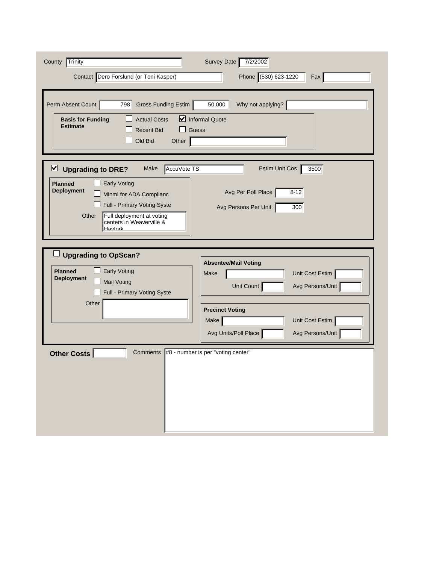| County Trinity<br>Contact Dero Forslund (or Toni Kasper)                                                                                                                                                                                             | Survey Date<br>7/2/2002<br>Phone (530) 623-1220<br>Fax                                        |
|------------------------------------------------------------------------------------------------------------------------------------------------------------------------------------------------------------------------------------------------------|-----------------------------------------------------------------------------------------------|
| Perm Absent Count<br>Gross Funding Estim<br>798<br><b>Actual Costs</b><br><b>Basis for Funding</b><br><b>Estimate</b><br><b>Recent Bid</b><br>Old Bid<br>Other                                                                                       | Why not applying?<br>50,000<br>Informal Quote<br>Guess                                        |
| AccuVote TS<br>$\vee$ Upgrading to DRE?<br>Make<br><b>Early Voting</b><br><b>Planned</b><br><b>Deployment</b><br>Minml for ADA Complianc<br>Full - Primary Voting Syste<br>Other<br>Full deployment at voting<br>centers in Weaverville &<br>Havfork | 3500<br>Estim Unit Cos<br>Avg Per Poll Place<br>$8 - 12$<br>Avg Persons Per Unit<br>300       |
| <b>Upgrading to OpScan?</b><br><b>Early Voting</b><br><b>Planned</b><br><b>Deployment</b><br><b>Mail Voting</b><br>Full - Primary Voting Syste                                                                                                       | <b>Absentee/Mail Voting</b><br>Unit Cost Estim<br>Make<br>Unit Count<br>Avg Persons/Unit      |
| Other                                                                                                                                                                                                                                                | <b>Precinct Voting</b><br>Unit Cost Estim<br>Make<br>Avg Units/Poll Place<br>Avg Persons/Unit |
| Comments #8 - number is per "voting center"<br>Other Costs                                                                                                                                                                                           |                                                                                               |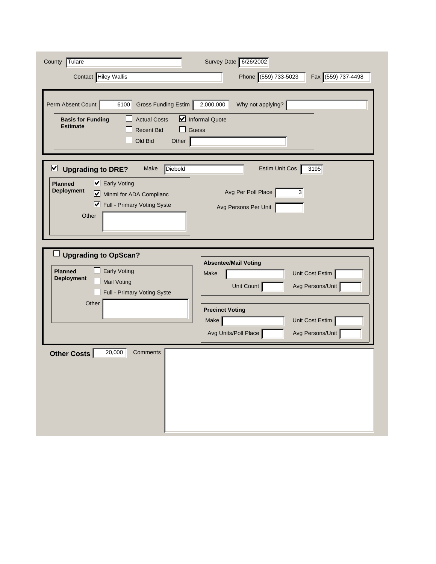| Tulare<br>County<br>Contact Hiley Wallis                                                                                                                                                        | Survey Date 6/26/2002<br>Phone (559) 733-5023<br>Fax (559) 737-4498                                                |
|-------------------------------------------------------------------------------------------------------------------------------------------------------------------------------------------------|--------------------------------------------------------------------------------------------------------------------|
| Perm Absent Count<br>6100<br>Gross Funding Estim<br><b>Actual Costs</b><br><b>Basis for Funding</b><br><b>Estimate</b><br><b>Recent Bid</b><br>Old Bid<br>Other                                 | 2,000,000<br>Why not applying?<br>Informal Quote<br>Guess                                                          |
| $\triangledown$<br><b>Diebold</b><br><b>Upgrading to DRE?</b><br>Make<br>Early Voting<br><b>Planned</b><br><b>Deployment</b><br>Minml for ADA Complianc<br>Full - Primary Voting Syste<br>Other | $\overline{3195}$<br>Estim Unit Cos<br>Avg Per Poll Place<br>3<br>Avg Persons Per Unit                             |
| <b>Upgrading to OpScan?</b><br><b>Planned</b><br>Early Voting<br><b>Deployment</b><br><b>Mail Voting</b><br>Full - Primary Voting Syste<br>Other                                                | <b>Absentee/Mail Voting</b><br>Unit Cost Estim<br>Make<br>Avg Persons/Unit<br>Unit Count<br><b>Precinct Voting</b> |
| 20,000<br>Other Costs<br>Comments                                                                                                                                                               | Make<br>Unit Cost Estim<br>Avg Units/Poll Place<br>Avg Persons/Unit                                                |
|                                                                                                                                                                                                 |                                                                                                                    |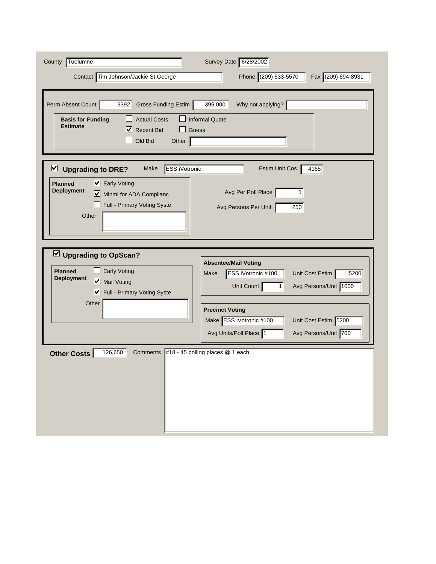| Tuolumne<br>County                                                        | Survey Date 6/28/2002                                 |
|---------------------------------------------------------------------------|-------------------------------------------------------|
| Contact Tim Johnson/Jackie St George                                      | Phone (209) 533-5570<br>Fax (209) 694-8931            |
|                                                                           |                                                       |
| Perm Absent Count<br>Gross Funding Estim<br>3392                          | 395,000<br>Why not applying?                          |
| <b>Actual Costs</b><br><b>Basis for Funding</b><br><b>Estimate</b>        | <b>Informal Quote</b>                                 |
| M<br><b>Recent Bid</b>                                                    | Guess                                                 |
| Old Bid<br>Other                                                          |                                                       |
| <b>ESS iVotronic</b><br>$\vee$ Upgrading to DRE?<br>Make                  | Estim Unit Cos<br>4165                                |
| $\triangleright$ Early Voting<br><b>Planned</b>                           |                                                       |
| <b>Deployment</b><br>Minml for ADA Complianc                              | Avg Per Poll Place<br>1                               |
| Full - Primary Voting Syste                                               | Avg Persons Per Unit<br>250                           |
| Other                                                                     |                                                       |
|                                                                           |                                                       |
|                                                                           |                                                       |
|                                                                           |                                                       |
| $\vee$ Upgrading to OpScan?                                               | <b>Absentee/Mail Voting</b>                           |
| <b>Early Voting</b><br><b>Planned</b><br><b>Deployment</b><br>Mail Voting | ESS iVotronic #100<br>Unit Cost Estim<br>Make<br>5200 |
| Full - Primary Voting Syste                                               | Unit Count<br>Avg Persons/Unit 1000<br>1              |
| Other                                                                     | <b>Precinct Voting</b>                                |
|                                                                           | Make ESS iVotronic #100<br>Unit Cost Estim 5200       |
|                                                                           | Avg Persons/Unit 700<br>Avg Units/Poll Place 1        |
| 126,650<br><b>Comments</b><br>Other Costs                                 | #18 - 45 polling places @ 1 each                      |
|                                                                           |                                                       |
|                                                                           |                                                       |
|                                                                           |                                                       |
|                                                                           |                                                       |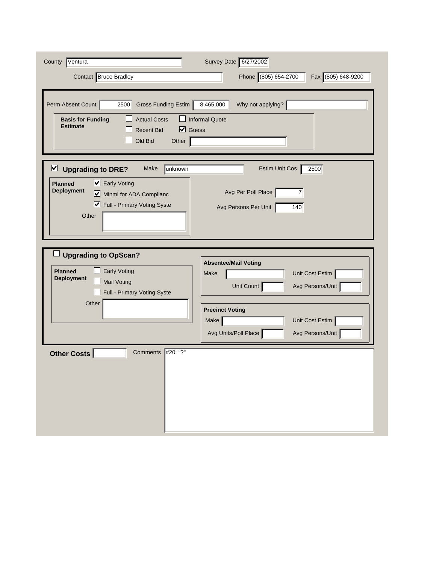| County Ventura<br>Contact Bruce Bradley                                                                                                                                                    | Survey Date 6/27/2002<br>Phone (805) 654-2700<br>Fax (805) 648-9200                           |
|--------------------------------------------------------------------------------------------------------------------------------------------------------------------------------------------|-----------------------------------------------------------------------------------------------|
| Perm Absent Count<br>2500<br>Gross Funding Estim<br><b>Actual Costs</b><br><b>Basis for Funding</b><br><b>Estimate</b><br>$\triangledown$ Guess<br><b>Recent Bid</b><br>Old Bid<br>Other   | 8,465,000<br>Why not applying?<br><b>Informal Quote</b>                                       |
| $\triangledown$<br><b>Upgrading to DRE?</b><br>unknown<br>Make<br>■ Early Voting<br><b>Planned</b><br><b>Deployment</b><br>Minml for ADA Complianc<br>Full - Primary Voting Syste<br>Other | 2500<br>Estim Unit Cos<br>Avg Per Poll Place<br>7<br>Avg Persons Per Unit<br>140              |
| <b>Upgrading to OpScan?</b><br><b>Planned</b><br>Early Voting<br><b>Deployment</b><br><b>Mail Voting</b><br>Full - Primary Voting Syste<br>Other                                           | <b>Absentee/Mail Voting</b><br>Unit Cost Estim<br>Make<br>Avg Persons/Unit<br>Unit Count      |
|                                                                                                                                                                                            | <b>Precinct Voting</b><br>Make<br>Unit Cost Estim<br>Avg Units/Poll Place<br>Avg Persons/Unit |
| #20: "?"<br>Comments<br>Other Costs                                                                                                                                                        |                                                                                               |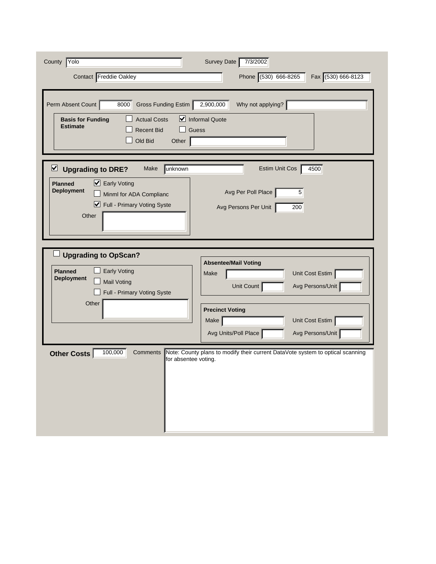| Yolo<br>County                                                                                                                                                                    | Survey Date<br>7/3/2002                                                                                                                                                                       |
|-----------------------------------------------------------------------------------------------------------------------------------------------------------------------------------|-----------------------------------------------------------------------------------------------------------------------------------------------------------------------------------------------|
| Contact Freddie Oakley                                                                                                                                                            | Phone (530) 666-8265<br>Fax (530) 666-8123                                                                                                                                                    |
| Perm Absent Count<br>8000<br>Gross Funding Estim<br><b>Actual Costs</b><br><b>Basis for Funding</b><br><b>Estimate</b><br><b>Recent Bid</b><br>Old Bid<br>Other                   | 2,900,000<br>Why not applying?<br>$\triangleright$ Informal Quote<br>Guess                                                                                                                    |
| $\triangleright$ Upgrading to DRE?<br>unknown<br>Make<br>■ Early Voting<br><b>Planned</b><br><b>Deployment</b><br>Minml for ADA Complianc<br>Full - Primary Voting Syste<br>Other | 4500<br>Estim Unit Cos<br>Avg Per Poll Place<br>5<br>Avg Persons Per Unit<br>200                                                                                                              |
| <b>Upgrading to OpScan?</b><br><b>Early Voting</b><br><b>Planned</b><br><b>Deployment</b><br><b>Mail Voting</b><br>Full - Primary Voting Syste<br>Other                           | <b>Absentee/Mail Voting</b><br>Unit Cost Estim<br>Make<br>Avg Persons/Unit<br>Unit Count<br><b>Precinct Voting</b><br>Unit Cost Estim<br>Make $ $<br>Avg Units/Poll Place<br>Avg Persons/Unit |
| 100,000<br>Comments<br>Other Costs<br>for absentee voting.                                                                                                                        | Note: County plans to modify their current DataVote system to optical scanning                                                                                                                |